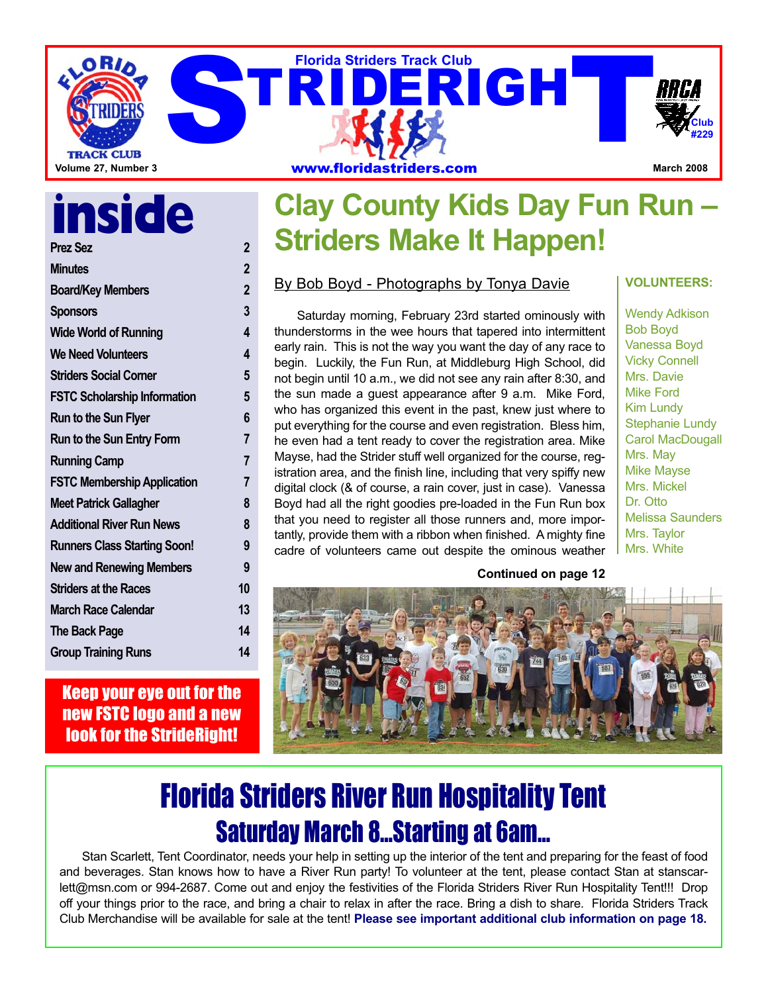

### **inside Prez Sez 2**

| <b>Minutes</b>                      | 2                       |
|-------------------------------------|-------------------------|
| <b>Board/Key Members</b>            | $\overline{\mathbf{2}}$ |
| <b>Sponsors</b>                     | 3                       |
| <b>Wide World of Running</b>        | 4                       |
| <b>We Need Volunteers</b>           | 4                       |
| <b>Striders Social Corner</b>       | 5                       |
| <b>FSTC Scholarship Information</b> | 5                       |
| <b>Run to the Sun Flyer</b>         | 6                       |
| Run to the Sun Entry Form           | 7                       |
| <b>Running Camp</b>                 | 7                       |
| <b>FSTC Membership Application</b>  | 7                       |
| <b>Meet Patrick Gallagher</b>       | 8                       |
| <b>Additional River Run News</b>    | 8                       |
| <b>Runners Class Starting Soon!</b> | 9                       |
| <b>New and Renewing Members</b>     | 9                       |
| <b>Striders at the Races</b>        | 10                      |
| <b>March Race Calendar</b>          | 13                      |
| <b>The Back Page</b>                | 14                      |
| <b>Group Training Runs</b>          | 14                      |
|                                     |                         |

Keep your eye out for the new FSTC logo and a new **look for the StrideRight!** 

### **Clay County Kids Day Fun Run – Striders Make It Happen!**

#### By Bob Boyd - Photographs by Tonya Davie

Saturday morning, February 23rd started ominously with thunderstorms in the wee hours that tapered into intermittent early rain. This is not the way you want the day of any race to begin. Luckily, the Fun Run, at Middleburg High School, did not begin until 10 a.m., we did not see any rain after 8:30, and the sun made a guest appearance after 9 a.m. Mike Ford, who has organized this event in the past, knew just where to put everything for the course and even registration. Bless him, he even had a tent ready to cover the registration area. Mike Mayse, had the Strider stuff well organized for the course, registration area, and the finish line, including that very spiffy new digital clock (& of course, a rain cover, just in case). Vanessa Boyd had all the right goodies pre-loaded in the Fun Run box that you need to register all those runners and, more importantly, provide them with a ribbon when finished. A mighty fine cadre of volunteers came out despite the ominous weather **VOLUNTEERS:**

Wendy Adkison Bob Boyd Vanessa Boyd Vicky Connell Mrs. Davie Mike Ford Kim Lundy Stephanie Lundy Carol MacDougall Mrs. May Mike Mayse Mrs. Mickel Dr. Otto Melissa Saunders Mrs. Taylor Mrs. White

**Continued on page 12**



## Florida Striders River Run Hospitality Tent Saturday March 8…Starting at 6am…

Stan Scarlett, Tent Coordinator, needs your help in setting up the interior of the tent and preparing for the feast of food and beverages. Stan knows how to have a River Run party! To volunteer at the tent, please contact Stan at stanscarlett@msn.com or 994-2687. Come out and enjoy the festivities of the Florida Striders River Run Hospitality Tent!!! Drop off your things prior to the race, and bring a chair to relax in after the race. Bring a dish to share. Florida Striders Track Club Merchandise will be available for sale at the tent! **Please see important additional club information on page 18.**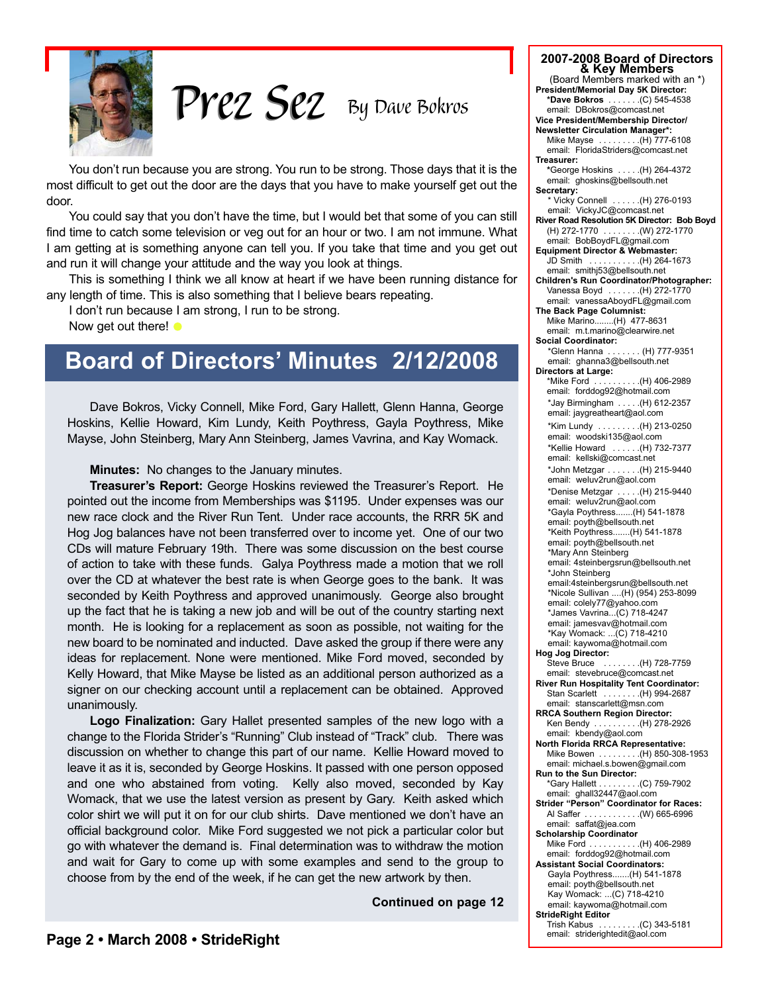

*By Dave Bokros Prez Sez Prez Sez*

You don't run because you are strong. You run to be strong. Those days that it is the most difficult to get out the door are the days that you have to make yourself get out the door.

You could say that you don't have the time, but I would bet that some of you can still find time to catch some television or veg out for an hour or two. I am not immune. What I am getting at is something anyone can tell you. If you take that time and you get out and run it will change your attitude and the way you look at things.

This is something I think we all know at heart if we have been running distance for any length of time. This is also something that I believe bears repeating.

I don't run because I am strong, I run to be strong.

Now get out there!  $\bullet$ 

### **Board of Directors' Minutes 2/12/2008**

Dave Bokros, Vicky Connell, Mike Ford, Gary Hallett, Glenn Hanna, George Hoskins, Kellie Howard, Kim Lundy, Keith Poythress, Gayla Poythress, Mike Mayse, John Steinberg, Mary Ann Steinberg, James Vavrina, and Kay Womack.

**Minutes:** No changes to the January minutes.

**Treasurer's Report:** George Hoskins reviewed the Treasurer's Report. He pointed out the income from Memberships was \$1195. Under expenses was our new race clock and the River Run Tent. Under race accounts, the RRR 5K and Hog Jog balances have not been transferred over to income yet. One of our two CDs will mature February 19th. There was some discussion on the best course of action to take with these funds. Galya Poythress made a motion that we roll over the CD at whatever the best rate is when George goes to the bank. It was seconded by Keith Poythress and approved unanimously. George also brought up the fact that he is taking a new job and will be out of the country starting next month. He is looking for a replacement as soon as possible, not waiting for the new board to be nominated and inducted. Dave asked the group if there were any ideas for replacement. None were mentioned. Mike Ford moved, seconded by Kelly Howard, that Mike Mayse be listed as an additional person authorized as a signer on our checking account until a replacement can be obtained. Approved unanimously.

**Logo Finalization:** Gary Hallet presented samples of the new logo with a change to the Florida Strider's "Running" Club instead of "Track" club. There was discussion on whether to change this part of our name. Kellie Howard moved to leave it as it is, seconded by George Hoskins. It passed with one person opposed and one who abstained from voting. Kelly also moved, seconded by Kay Womack, that we use the latest version as present by Gary. Keith asked which color shirt we will put it on for our club shirts. Dave mentioned we don't have an official background color. Mike Ford suggested we not pick a particular color but go with whatever the demand is. Final determination was to withdraw the motion and wait for Gary to come up with some examples and send to the group to choose from by the end of the week, if he can get the new artwork by then.

**Continued on page 12**

| 2007-2008 Board of Directors<br>& Key Members                             |
|---------------------------------------------------------------------------|
| (Board Members marked with an *)                                          |
| President/Memorial Day 5K Director:<br>*Dave Bokros  (C) 545-4538         |
| email: DBokros@comcast.net                                                |
| Vice President/Membership Director/                                       |
| <b>Newsletter Circulation Manager*:</b><br>Mike Mayse (H) 777-6108        |
| email: FloridaStriders@comcast.net                                        |
| Treasurer:                                                                |
| *George Hoskins  (H) 264-4372                                             |
| email: ghoskins@bellsouth.net<br>Secretary:                               |
| * Vicky Connell  (H) 276-0193                                             |
| email: VickyJC@comcast.net                                                |
| River Road Resolution 5K Director: Bob Boyd<br>(H) 272-1770  (W) 272-1770 |
| email: BobBoydFL@gmail.com                                                |
| <b>Equipment Director &amp; Webmaster:</b>                                |
| JD Smith (H) 264-1673<br>email: smithj53@bellsouth.net                    |
| Children's Run Coordinator/Photographer:                                  |
| Vanessa Boyd  (H) 272-1770                                                |
| email: vanessaAboydFL@gmail.com<br>The Back Page Columnist:               |
| Mike Marino(H) 477-8631                                                   |
| email: m.t.marino@clearwire.net                                           |
| <b>Social Coordinator:</b>                                                |
| *Glenn Hanna  (H) 777-9351<br>email: ghanna3@bellsouth.net                |
| Directors at Large:                                                       |
| *Mike Ford (H) 406-2989                                                   |
| email: forddog92@hotmail.com                                              |
| *Jay Birmingham (H) 612-2357<br>email: jaygreatheart@aol.com              |
| *Kim Lundy  (H) 213-0250                                                  |
| email: woodski135@aol.com                                                 |
| *Kellie Howard  (H) 732-7377                                              |
| email: kellski@comcast.net                                                |
| *John Metzgar (H) 215-9440<br>email: weluv2run@aol.com                    |
| *Denise Metzgar (H) 215-9440                                              |
| email: weluv2run@aol.com                                                  |
| *Gayla Poythress(H) 541-1878<br>email: poyth@bellsouth.net                |
| *Keith Poythress(H) 541-1878                                              |
| email: poyth@bellsouth.net                                                |
| *Mary Ann Steinberg<br>email: 4steinbergsrun@bellsouth.net                |
| *John Steinberg                                                           |
| email:4steinbergsrun@bellsouth.net                                        |
| *Nicole Sullivan (H) (954) 253-8099                                       |
| email: colely77@yahoo.com<br>*James Vavrina(C) 718-4247                   |
| email: jamesvav@hotmail.com                                               |
| *Kay Womack: (C) 718-4210                                                 |
| email: kaywoma@hotmail.com<br>Hog Jog Director:                           |
| Steve Bruce  (H) 728-7759                                                 |
| email: stevebruce@comcast.net                                             |
| River Run Hospitality Tent Coordinator:<br>Stan Scarlett  (H) 994-2687    |
| email: stanscarlett@msn.com                                               |
| <b>RRCA Southern Region Director:</b>                                     |
| Ken Bendy (H) 278-2926<br>email: kbendy@aol.com                           |
| <b>North Florida RRCA Representative:</b>                                 |
| Mike Bowen  (H) 850-308-1953                                              |
| email: michael.s.bowen@gmail.com                                          |
| Run to the Sun Director:<br>*Gary Hallett (C) 759-7902                    |
| email: ghall32447@aol.com                                                 |
| <b>Strider "Person" Coordinator for Races:</b>                            |
| Al Saffer (W) 665-6996<br>email: saffat@jea.com                           |
| <b>Scholarship Coordinator</b>                                            |
| Mike Ford (H) 406-2989                                                    |
| email: forddog92@hotmail.com                                              |
| <b>Assistant Social Coordinators:</b><br>Gayla Poythress(H) 541-1878      |
| email: poyth@bellsouth.net                                                |
| Kay Womack:  (C) 718-4210                                                 |
| email: kaywoma@hotmail.com<br><b>StrideRight Editor</b>                   |
| Trish Kabus (C) 343-5181                                                  |
| email: striderightedit@aol.com                                            |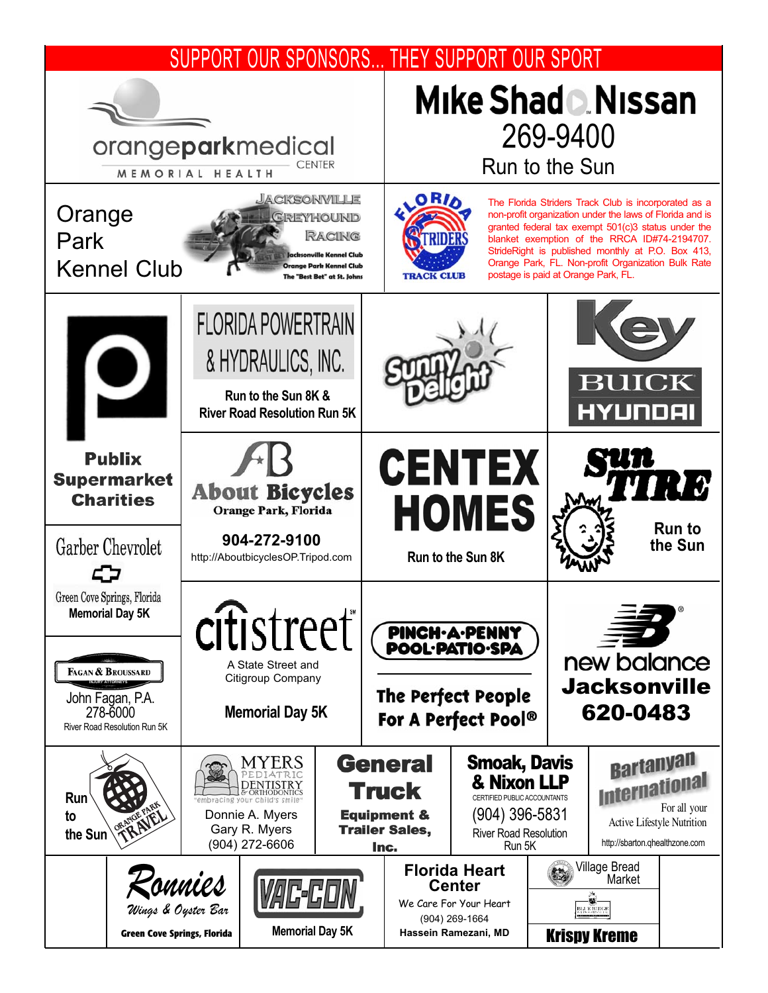#### SUPPORT OUR SPONSORS... THEY SUPPORT OUR SPORT Mike Shad D. Nissan 269-9400 orangeparkmedical Run to the Sun **CENTER** MEMORIAL HEALTH **JACKSONMILLE** ORIA The Florida Striders Track Club is incorporated as a Orange non-profit organization under the laws of Florida and is GREYHOUND granted federal tax exempt 501(c)3 status under the RACING Park blanket exemption of the RRCA ID#74-2194707. StrideRight is published monthly at P.O. Box 413, Orange Park, FL. Non-profit Organization Bulk Rate Kennel Club .<br>range Park Kennel Club **TRACK CLUB** postage is paid at Orange Park, FL. The "Best Bet" at St. Johns **FLORIDA POWERTRAIN** & HYDRAULICS, INC. **BUICK Run to the Sun 8K &** HYUNDAI **River Road Resolution Run 5K Publix CENTEX** 13 **Supermarket About Bicycles Charities HOMES Orange Park, Florida Run to 904-272-9100** Garber Chevrolet **the Sun** http://AboutbicyclesOP.Tripod.com **Run to the Sun 8K** 57 Green Cove Springs, Florida **Memorial Day 5K** citistreet **PINCH-A-PENNY POOL·PATIO·SPA** new balance A State Street and FAGAN & BROUSSARD Citigroup Company **Jacksonville INJURY ATTORNEYS The Perfect People** John Fagan, P.A. 620-0483 278-6000 **Memorial Day 5K** For A Perfect Pool® River Road Resolution Run 5K **Bartanyan General** Smoak, Davis MYERS **International** & Nixon LLP **DENTISTRY Truck Run** CERTIFIED PUBLIC ACCOUNTANTS Donnie A. Myers **Equipment &** (904) 396-5831 **to** Active Lifestyle Nutrition **Trailer Sales,** Gary R. Myers **the Sun** River Road Resolution http://sbarton.qhealthzone.com (904) 272-6606 Run 5K Inc. Village Bread **Florida Heart** Market *Ronnies***Center RA** We Care For Your Heart *Wings & Oyster Bar* (904) 269-1664 **Memorial Day 5K Green Cove Springs, Florida Hassein Ramezani, MD** Krispy Kreme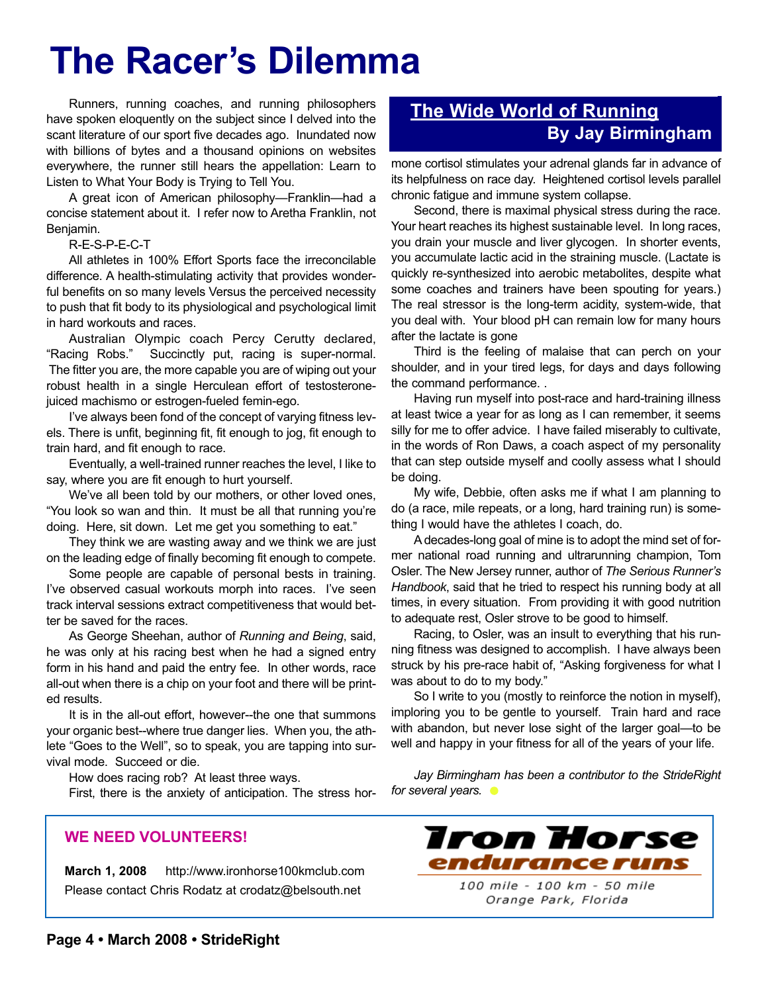# **The Racer's Dilemma**

Runners, running coaches, and running philosophers have spoken eloquently on the subject since I delved into the scant literature of our sport five decades ago. Inundated now with billions of bytes and a thousand opinions on websites everywhere, the runner still hears the appellation: Learn to Listen to What Your Body is Trying to Tell You.

A great icon of American philosophy—Franklin—had a concise statement about it. I refer now to Aretha Franklin, not Benjamin.

#### R-E-S-P-E-C-T

All athletes in 100% Effort Sports face the irreconcilable difference. A health-stimulating activity that provides wonderful benefits on so many levels Versus the perceived necessity to push that fit body to its physiological and psychological limit in hard workouts and races.

Australian Olympic coach Percy Cerutty declared, "Racing Robs." Succinctly put, racing is super-normal. The fitter you are, the more capable you are of wiping out your robust health in a single Herculean effort of testosteronejuiced machismo or estrogen-fueled femin-ego.

I've always been fond of the concept of varying fitness levels. There is unfit, beginning fit, fit enough to jog, fit enough to train hard, and fit enough to race.

Eventually, a well-trained runner reaches the level, I like to say, where you are fit enough to hurt yourself.

We've all been told by our mothers, or other loved ones, "You look so wan and thin. It must be all that running you're doing. Here, sit down. Let me get you something to eat."

They think we are wasting away and we think we are just on the leading edge of finally becoming fit enough to compete.

Some people are capable of personal bests in training. I've observed casual workouts morph into races. I've seen track interval sessions extract competitiveness that would better be saved for the races.

As George Sheehan, author of *Running and Being*, said, he was only at his racing best when he had a signed entry form in his hand and paid the entry fee. In other words, race all-out when there is a chip on your foot and there will be printed results.

It is in the all-out effort, however--the one that summons your organic best--where true danger lies. When you, the athlete "Goes to the Well", so to speak, you are tapping into survival mode. Succeed or die.

How does racing rob? At least three ways.

First, there is the anxiety of anticipation. The stress hor-

#### **WE NEED VOLUNTEERS!**

**March 1, 2008** http://www.ironhorse100kmclub.com Please contact Chris Rodatz at crodatz@belsouth.net

### **The Wide World of Running By Jay Birmingham**

mone cortisol stimulates your adrenal glands far in advance of its helpfulness on race day. Heightened cortisol levels parallel chronic fatigue and immune system collapse.

Second, there is maximal physical stress during the race. Your heart reaches its highest sustainable level. In long races, you drain your muscle and liver glycogen. In shorter events, you accumulate lactic acid in the straining muscle. (Lactate is quickly re-synthesized into aerobic metabolites, despite what some coaches and trainers have been spouting for years.) The real stressor is the long-term acidity, system-wide, that you deal with. Your blood pH can remain low for many hours after the lactate is gone

Third is the feeling of malaise that can perch on your shoulder, and in your tired legs, for days and days following the command performance. .

Having run myself into post-race and hard-training illness at least twice a year for as long as I can remember, it seems silly for me to offer advice. I have failed miserably to cultivate, in the words of Ron Daws, a coach aspect of my personality that can step outside myself and coolly assess what I should be doing.

My wife, Debbie, often asks me if what I am planning to do (a race, mile repeats, or a long, hard training run) is something I would have the athletes I coach, do.

A decades-long goal of mine is to adopt the mind set of former national road running and ultrarunning champion, Tom Osler. The New Jersey runner, author of *The Serious Runner's Handbook*, said that he tried to respect his running body at all times, in every situation. From providing it with good nutrition to adequate rest, Osler strove to be good to himself.

Racing, to Osler, was an insult to everything that his running fitness was designed to accomplish. I have always been struck by his pre-race habit of, "Asking forgiveness for what I was about to do to my body."

So I write to you (mostly to reinforce the notion in myself), imploring you to be gentle to yourself. Train hard and race with abandon, but never lose sight of the larger goal—to be well and happy in your fitness for all of the years of your life.

*Jay Birmingham has been a contributor to the StrideRight for several years.*

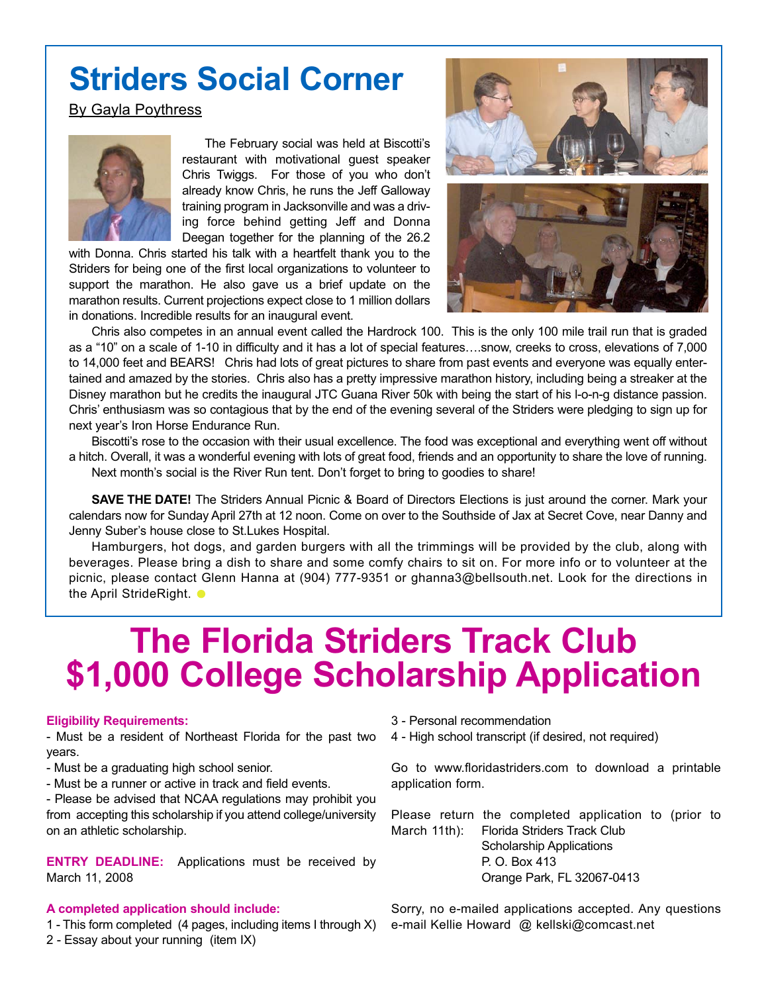## **Striders Social Corner**

#### By Gayla Poythress



The February social was held at Biscotti's restaurant with motivational guest speaker Chris Twiggs. For those of you who don't already know Chris, he runs the Jeff Galloway training program in Jacksonville and was a driving force behind getting Jeff and Donna Deegan together for the planning of the 26.2

with Donna. Chris started his talk with a heartfelt thank you to the Striders for being one of the first local organizations to volunteer to support the marathon. He also gave us a brief update on the marathon results. Current projections expect close to 1 million dollars in donations. Incredible results for an inaugural event.



Chris also competes in an annual event called the Hardrock 100. This is the only 100 mile trail run that is graded as a "10" on a scale of 1-10 in difficulty and it has a lot of special features….snow, creeks to cross, elevations of 7,000 to 14,000 feet and BEARS! Chris had lots of great pictures to share from past events and everyone was equally entertained and amazed by the stories. Chris also has a pretty impressive marathon history, including being a streaker at the Disney marathon but he credits the inaugural JTC Guana River 50k with being the start of his l-o-n-g distance passion. Chris' enthusiasm was so contagious that by the end of the evening several of the Striders were pledging to sign up for next year's Iron Horse Endurance Run.

Biscotti's rose to the occasion with their usual excellence. The food was exceptional and everything went off without a hitch. Overall, it was a wonderful evening with lots of great food, friends and an opportunity to share the love of running. Next month's social is the River Run tent. Don't forget to bring to goodies to share!

**SAVE THE DATE!** The Striders Annual Picnic & Board of Directors Elections is just around the corner. Mark your calendars now for Sunday April 27th at 12 noon. Come on over to the Southside of Jax at Secret Cove, near Danny and Jenny Suber's house close to St.Lukes Hospital.

Hamburgers, hot dogs, and garden burgers with all the trimmings will be provided by the club, along with beverages. Please bring a dish to share and some comfy chairs to sit on. For more info or to volunteer at the picnic, please contact Glenn Hanna at (904) 777-9351 or ghanna3@bellsouth.net. Look for the directions in the April StrideRight.  $\bullet$ 

## **The Florida Striders Track Club \$1,000 College Scholarship Application**

#### **Eligibility Requirements:**

- Must be a resident of Northeast Florida for the past two years.

- Must be a graduating high school senior.
- Must be a runner or active in track and field events.

- Please be advised that NCAA regulations may prohibit you from accepting this scholarship if you attend college/university on an athletic scholarship.

**ENTRY DEADLINE:** Applications must be received by March 11, 2008

#### **A completed application should include:**

- 1 This form completed (4 pages, including items I through X) e-mail Kellie Howard @ kellski@comcast.net
- 2 Essay about your running (item IX)
- 3 Personal recommendation
- 4 High school transcript (if desired, not required)

Go to www.floridastriders.com to download a printable application form.

Please return the completed application to (prior to March 11th): Florida Striders Track Club Scholarship Applications P. O. Box 413 Orange Park, FL 32067-0413

Sorry, no e-mailed applications accepted. Any questions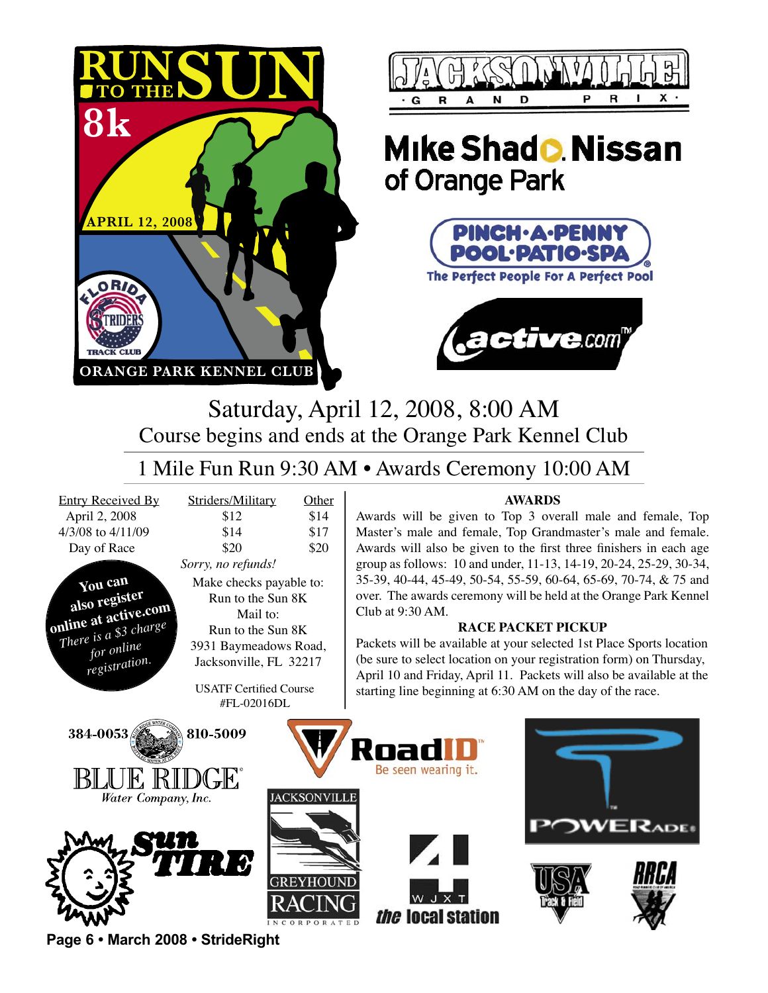



### **Mike Shado Nissan** of Orange Park





Saturday, April 12, 2008, 8:00 AM Course begins and ends at the Orange Park Kennel Club

### 1 Mile Fun Run 9:30 AM • Awards Ceremony 10:00 AM

April 2, 2008 4/3/08 to 4/11/09 Day of Race

**You can also register <u>online</u>** at active.com *There is a* \$3 charge *<u><i><u>for</u> online*</del></u>  $registration.$ 

| <b>Entry Received By</b> | Striders/Military | Other |
|--------------------------|-------------------|-------|
| April 2, 2008            | \$12              | \$14  |
| 4/3/08 to 4/11/09        | \$14              | \$17  |
| Day of Race              | \$20              | \$20  |
|                          |                   |       |

*Sorry, no refunds!* Make checks payable to: Run to the Sun 8K Mail to: Run to the Sun 8K 3931 Baymeadows Road, Jacksonville, FL 32217

> **USATF Certified Course** #FL-02016DL

#### **AWARDS**

Awards will be given to Top 3 overall male and female, Top Master's male and female, Top Grandmaster's male and female. Awards will also be given to the first three finishers in each age group as follows: 10 and under, 11-13, 14-19, 20-24, 25-29, 30-34, 35-39, 40-44, 45-49, 50-54, 55-59, 60-64, 65-69, 70-74, & 75 and over. The awards ceremony will be held at the Orange Park Kennel Club at  $9:30$  AM.

#### **FACE PACKET PICKUP**

Packets will be available at your selected 1st Place Sports location (be sure to select location on your registration form) on Thursday, April 10 and Friday, April 11. Packets will also be available at the starting line beginning at  $6:30$  AM on the day of the race.



**Page 6 • March 2008 • StrideRight**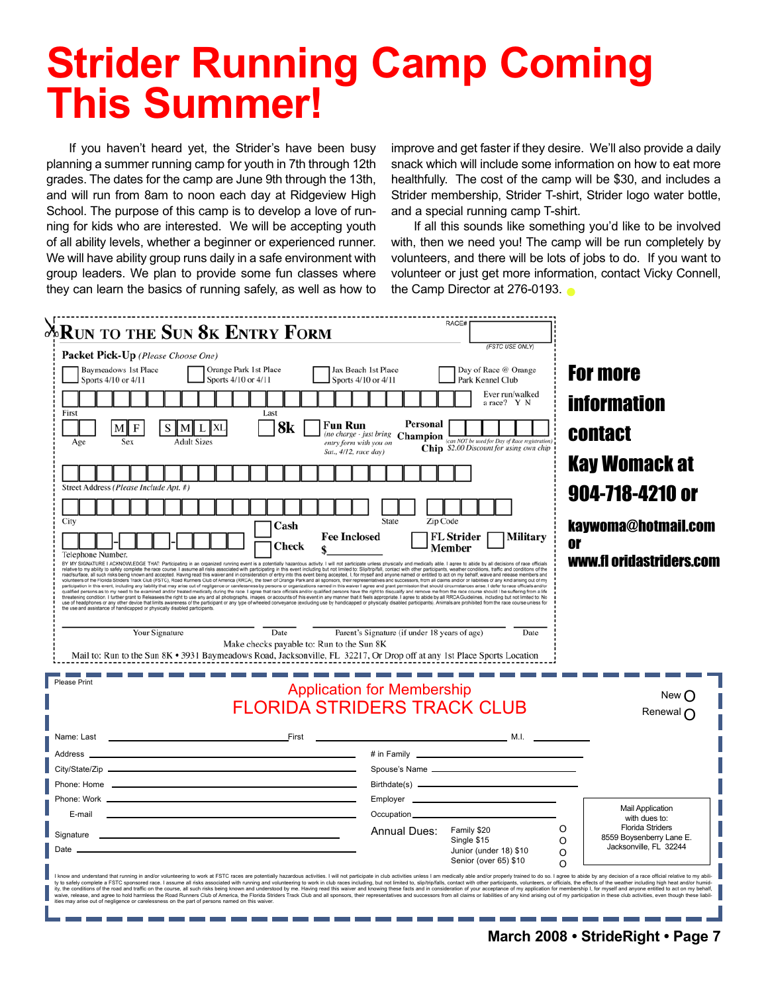# **Strider Running Camp Coming This Summer!**

If you haven't heard yet, the Strider's have been busy planning a summer running camp for youth in 7th through 12th grades. The dates for the camp are June 9th through the 13th, and will run from 8am to noon each day at Ridgeview High School. The purpose of this camp is to develop a love of running for kids who are interested. We will be accepting youth of all ability levels, whether a beginner or experienced runner. We will have ability group runs daily in a safe environment with group leaders. We plan to provide some fun classes where they can learn the basics of running safely, as well as how to

improve and get faster if they desire. We'll also provide a daily snack which will include some information on how to eat more healthfully. The cost of the camp will be \$30, and includes a Strider membership, Strider T-shirt, Strider logo water bottle, and a special running camp T-shirt.

If all this sounds like something you'd like to be involved with, then we need you! The camp will be run completely by volunteers, and there will be lots of jobs to do. If you want to volunteer or just get more information, contact Vicky Connell, the Camp Director at 276-0193.

| $\lambda$ run to the Sun 8k Entry Form                                                                                                                                                                                                                                                                                                                                                                                                                                                                                                                                                                                                                                                                                                                                                                                                                                                                                                                                                                                                                                                                                                                                                                                                                                                                                                                                                                                                                                                                                                                                                                                                                                                                                                                                                                                                                                                                                                                                                         | RACE#                                                                                                                                                                                                                                |                                                                                                   |
|------------------------------------------------------------------------------------------------------------------------------------------------------------------------------------------------------------------------------------------------------------------------------------------------------------------------------------------------------------------------------------------------------------------------------------------------------------------------------------------------------------------------------------------------------------------------------------------------------------------------------------------------------------------------------------------------------------------------------------------------------------------------------------------------------------------------------------------------------------------------------------------------------------------------------------------------------------------------------------------------------------------------------------------------------------------------------------------------------------------------------------------------------------------------------------------------------------------------------------------------------------------------------------------------------------------------------------------------------------------------------------------------------------------------------------------------------------------------------------------------------------------------------------------------------------------------------------------------------------------------------------------------------------------------------------------------------------------------------------------------------------------------------------------------------------------------------------------------------------------------------------------------------------------------------------------------------------------------------------------------|--------------------------------------------------------------------------------------------------------------------------------------------------------------------------------------------------------------------------------------|---------------------------------------------------------------------------------------------------|
| Packet Pick-Up (Please Choose One)                                                                                                                                                                                                                                                                                                                                                                                                                                                                                                                                                                                                                                                                                                                                                                                                                                                                                                                                                                                                                                                                                                                                                                                                                                                                                                                                                                                                                                                                                                                                                                                                                                                                                                                                                                                                                                                                                                                                                             | (FSTC USE ONLY)                                                                                                                                                                                                                      |                                                                                                   |
| Orange Park 1st Place<br><b>Baymeadows 1st Place</b><br>Sports 4/10 or 4/11<br>Sports 4/10 or 4/11                                                                                                                                                                                                                                                                                                                                                                                                                                                                                                                                                                                                                                                                                                                                                                                                                                                                                                                                                                                                                                                                                                                                                                                                                                                                                                                                                                                                                                                                                                                                                                                                                                                                                                                                                                                                                                                                                             | Jax Beach 1st Place<br>Day of Race @ Orange<br>Sports 4/10 or 4/11<br>Park Kennel Club                                                                                                                                               | <b>For more</b>                                                                                   |
| Last<br>First                                                                                                                                                                                                                                                                                                                                                                                                                                                                                                                                                                                                                                                                                                                                                                                                                                                                                                                                                                                                                                                                                                                                                                                                                                                                                                                                                                                                                                                                                                                                                                                                                                                                                                                                                                                                                                                                                                                                                                                  | Ever run/walked<br>a race? Y N                                                                                                                                                                                                       | <b>information</b>                                                                                |
| 8k<br>Fun Run<br><b>Adult Sizes</b><br>Age<br>Sat., 4/12, race day)                                                                                                                                                                                                                                                                                                                                                                                                                                                                                                                                                                                                                                                                                                                                                                                                                                                                                                                                                                                                                                                                                                                                                                                                                                                                                                                                                                                                                                                                                                                                                                                                                                                                                                                                                                                                                                                                                                                            | Personal<br>The charge - just bring <b>Champion</b> can <i>NOT</i> be used for Day of Race registration,<br>Chip \$2.00 Discount for using own chip                                                                                  | <b>contact</b>                                                                                    |
| Street Address (Please Include Apt. #)                                                                                                                                                                                                                                                                                                                                                                                                                                                                                                                                                                                                                                                                                                                                                                                                                                                                                                                                                                                                                                                                                                                                                                                                                                                                                                                                                                                                                                                                                                                                                                                                                                                                                                                                                                                                                                                                                                                                                         |                                                                                                                                                                                                                                      | <b>Kay Womack at</b>                                                                              |
| City                                                                                                                                                                                                                                                                                                                                                                                                                                                                                                                                                                                                                                                                                                                                                                                                                                                                                                                                                                                                                                                                                                                                                                                                                                                                                                                                                                                                                                                                                                                                                                                                                                                                                                                                                                                                                                                                                                                                                                                           | Zip Code<br>State                                                                                                                                                                                                                    | 904-718-4210 or                                                                                   |
| Cash<br><b>Fee Inclosed</b><br><b>Check</b><br>Telephone Number.<br>BY MY SIGNATURE I ACKNOWLEDGE THAT: Participating in an organized running event is a potentially hazardous activity. I will not participate unless physically and medically able. I agree to abide by all decisions of race of<br>relative to revaility to safely complete the race course. I assume all risks associated with participating in this event including but not limited to Silpstriptil, contact with other participats, washer and response to a s<br>volunteers of the Florida Striders Track Club (FSTC), Road Runners Club of America (RRCA), the town of Orange Park and all sponsors, their representatives and successors, from all claims and/or or liabilities of any kind a<br>participation in this event, including any liability that may arise out of negligence or carelessness by persons or organizations named in this waiver I agree and grant permission that should circumstances arise, I defer t<br>qualified persons as to my need to be examined and/or treated medically during the race. I agree that race officials and/or qualified persons have the right to disqualify and remove me from the race course should I be suff<br>threatening condition. I further grant to Releasees the right to use any and all photographs, images, or accounts of this event in any manner that it feels appropriate. I agree to abide by all RRCA Guidelines, including bu<br>use of headphones or any other device that limits awareness of the participant or any type of wheeled conveyance (excluding use by handicapped or physically disabled participants). Animals are prohibited from the race cour<br>the use and assistance of handicapped or physically disabled participants.<br>Date<br>Your Signature<br>Make checks payable to: Run to the Sun 8K<br>Mail to: Run to the Sun 8K • 3931 Baymeadows Road, Jacksonville, FL 32217, Or Drop off at any 1st Place Sports Location | <b>FL Strider</b><br><b>Military</b><br>Member<br>Parent's Signature (if under 18 years of age)<br>Date                                                                                                                              | kaywoma@hotmail.com<br>0ľ<br>www.fl oridastriders.com                                             |
| Please Print                                                                                                                                                                                                                                                                                                                                                                                                                                                                                                                                                                                                                                                                                                                                                                                                                                                                                                                                                                                                                                                                                                                                                                                                                                                                                                                                                                                                                                                                                                                                                                                                                                                                                                                                                                                                                                                                                                                                                                                   | <b>Application for Membership</b><br><b>FLORIDA STRIDERS TRACK CLUB</b>                                                                                                                                                              | New()<br>Renewal n                                                                                |
| <u>in the second contract of the second second second second second second second second second second second second</u><br>Name: Last                                                                                                                                                                                                                                                                                                                                                                                                                                                                                                                                                                                                                                                                                                                                                                                                                                                                                                                                                                                                                                                                                                                                                                                                                                                                                                                                                                                                                                                                                                                                                                                                                                                                                                                                                                                                                                                         |                                                                                                                                                                                                                                      |                                                                                                   |
| Address _<br><u> 1980 - Johann Barbara, martxa alemaniar arg</u><br>Phone: Work _                                                                                                                                                                                                                                                                                                                                                                                                                                                                                                                                                                                                                                                                                                                                                                                                                                                                                                                                                                                                                                                                                                                                                                                                                                                                                                                                                                                                                                                                                                                                                                                                                                                                                                                                                                                                                                                                                                              | # in Family <b>All According to the Contract of According to the Contract of According to the Contract of According to the Contract of According to the Contract of According to the Contract of According to the Contract of Ac</b> |                                                                                                   |
| E-mail                                                                                                                                                                                                                                                                                                                                                                                                                                                                                                                                                                                                                                                                                                                                                                                                                                                                                                                                                                                                                                                                                                                                                                                                                                                                                                                                                                                                                                                                                                                                                                                                                                                                                                                                                                                                                                                                                                                                                                                         | Occupation_______                                                                                                                                                                                                                    | <b>Mail Application</b><br>with dues to:                                                          |
| Signature<br>Date                                                                                                                                                                                                                                                                                                                                                                                                                                                                                                                                                                                                                                                                                                                                                                                                                                                                                                                                                                                                                                                                                                                                                                                                                                                                                                                                                                                                                                                                                                                                                                                                                                                                                                                                                                                                                                                                                                                                                                              | <b>Annual Dues:</b><br>Family \$20<br>Single \$15<br>Junior (under 18) \$10<br>Senior (over 65) \$10                                                                                                                                 | <b>Florida Striders</b><br>O<br>8559 Boysenberry Lane E.<br>O<br>Jacksonville, FL 32244<br>O<br>Ω |
| I know and understand that running in and/or volunteering to work at FSTC races are potentially hazardous activities. I will not participate in club activities unless I am medically able and/or properly trained to do so. I<br>ty to safely complete a FSTC sponsored race. I assume all risks associated with running and volunteering to work in club races including, but not limited to, slip/trip/falls, contact with other participants, volunteers, or<br>ity, the conditions of the road and traffic on the course, all such risks being known and understood by me. Having read this waiver and knowing these facts and in consideration of your acceptance of my application for memb<br>waive, release, and agree to hold harmless the Road Runners Club of America, the Florida Striders Track Club and all sponsors, their representatives and successors from all claims or liabilities of any kind arising out of<br>ities may arise out of negligence or carelessness on the part of persons named on this waiver.                                                                                                                                                                                                                                                                                                                                                                                                                                                                                                                                                                                                                                                                                                                                                                                                                                                                                                                                                          |                                                                                                                                                                                                                                      |                                                                                                   |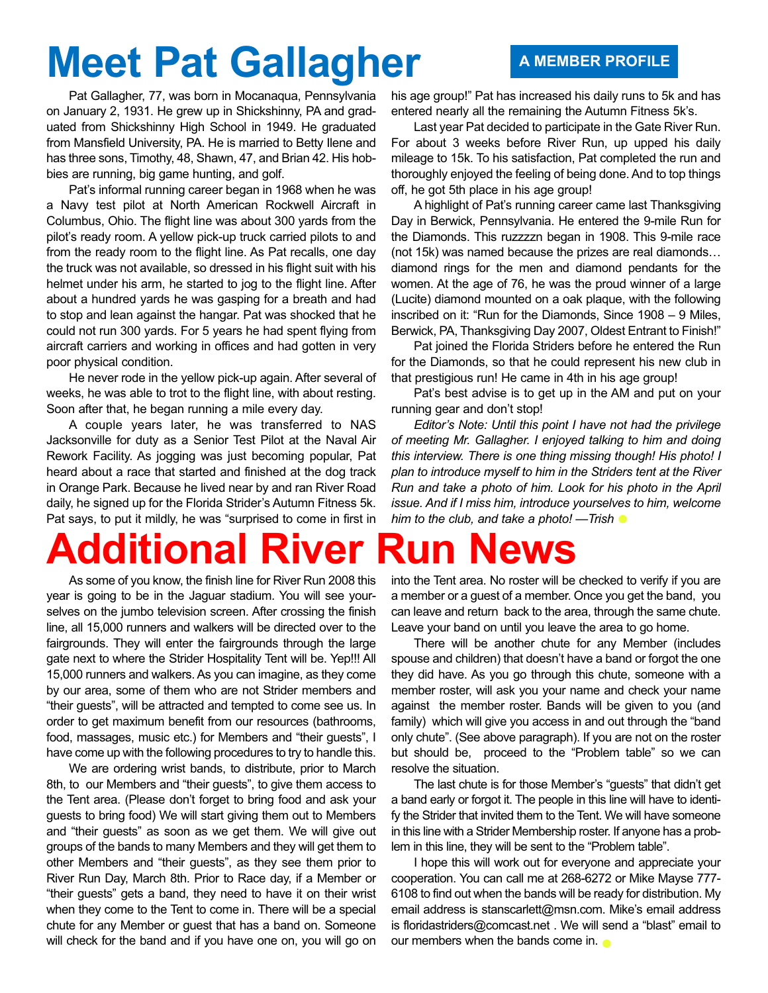# **Meet Pat Gallagher A MEMBER PROFILE**

Pat Gallagher, 77, was born in Mocanaqua, Pennsylvania on January 2, 1931. He grew up in Shickshinny, PA and graduated from Shickshinny High School in 1949. He graduated from Mansfield University, PA. He is married to Betty Ilene and has three sons, Timothy, 48, Shawn, 47, and Brian 42. His hobbies are running, big game hunting, and golf.

Pat's informal running career began in 1968 when he was a Navy test pilot at North American Rockwell Aircraft in Columbus, Ohio. The flight line was about 300 yards from the pilot's ready room. A yellow pick-up truck carried pilots to and from the ready room to the flight line. As Pat recalls, one day the truck was not available, so dressed in his flight suit with his helmet under his arm, he started to jog to the flight line. After about a hundred yards he was gasping for a breath and had to stop and lean against the hangar. Pat was shocked that he could not run 300 yards. For 5 years he had spent flying from aircraft carriers and working in offices and had gotten in very poor physical condition.

He never rode in the yellow pick-up again. After several of weeks, he was able to trot to the flight line, with about resting. Soon after that, he began running a mile every day.

A couple years later, he was transferred to NAS Jacksonville for duty as a Senior Test Pilot at the Naval Air Rework Facility. As jogging was just becoming popular, Pat heard about a race that started and finished at the dog track in Orange Park. Because he lived near by and ran River Road daily, he signed up for the Florida Strider's Autumn Fitness 5k. Pat says, to put it mildly, he was "surprised to come in first in

## **Additional River Run News**

As some of you know, the finish line for River Run 2008 this year is going to be in the Jaguar stadium. You will see yourselves on the jumbo television screen. After crossing the finish line, all 15,000 runners and walkers will be directed over to the fairgrounds. They will enter the fairgrounds through the large gate next to where the Strider Hospitality Tent will be. Yep!!! All 15,000 runners and walkers. As you can imagine, as they come by our area, some of them who are not Strider members and "their guests", will be attracted and tempted to come see us. In order to get maximum benefit from our resources (bathrooms, food, massages, music etc.) for Members and "their guests", I have come up with the following procedures to try to handle this.

We are ordering wrist bands, to distribute, prior to March 8th, to our Members and "their guests", to give them access to the Tent area. (Please don't forget to bring food and ask your guests to bring food) We will start giving them out to Members and "their guests" as soon as we get them. We will give out groups of the bands to many Members and they will get them to other Members and "their guests", as they see them prior to River Run Day, March 8th. Prior to Race day, if a Member or "their guests" gets a band, they need to have it on their wrist when they come to the Tent to come in. There will be a special chute for any Member or guest that has a band on. Someone will check for the band and if you have one on, you will go on

his age group!" Pat has increased his daily runs to 5k and has entered nearly all the remaining the Autumn Fitness 5k's.

Last year Pat decided to participate in the Gate River Run. For about 3 weeks before River Run, up upped his daily mileage to 15k. To his satisfaction, Pat completed the run and thoroughly enjoyed the feeling of being done. And to top things off, he got 5th place in his age group!

A highlight of Pat's running career came last Thanksgiving Day in Berwick, Pennsylvania. He entered the 9-mile Run for the Diamonds. This ruzzzzn began in 1908. This 9-mile race (not 15k) was named because the prizes are real diamonds… diamond rings for the men and diamond pendants for the women. At the age of 76, he was the proud winner of a large (Lucite) diamond mounted on a oak plaque, with the following inscribed on it: "Run for the Diamonds, Since 1908 – 9 Miles, Berwick, PA, Thanksgiving Day 2007, Oldest Entrant to Finish!"

Pat joined the Florida Striders before he entered the Run for the Diamonds, so that he could represent his new club in that prestigious run! He came in 4th in his age group!

Pat's best advise is to get up in the AM and put on your running gear and don't stop!

*Editor's Note: Until this point I have not had the privilege of meeting Mr. Gallagher. I enjoyed talking to him and doing this interview. There is one thing missing though! His photo! I plan to introduce myself to him in the Striders tent at the River Run and take a photo of him. Look for his photo in the April issue. And if I miss him, introduce yourselves to him, welcome him to the club, and take a photo! —Trish*

into the Tent area. No roster will be checked to verify if you are a member or a guest of a member. Once you get the band, you can leave and return back to the area, through the same chute. Leave your band on until you leave the area to go home.

There will be another chute for any Member (includes spouse and children) that doesn't have a band or forgot the one they did have. As you go through this chute, someone with a member roster, will ask you your name and check your name against the member roster. Bands will be given to you (and family) which will give you access in and out through the "band only chute". (See above paragraph). If you are not on the roster but should be, proceed to the "Problem table" so we can resolve the situation.

The last chute is for those Member's "guests" that didn't get a band early or forgot it. The people in this line will have to identify the Strider that invited them to the Tent. We will have someone in this line with a Strider Membership roster. If anyone has a problem in this line, they will be sent to the "Problem table".

I hope this will work out for everyone and appreciate your cooperation. You can call me at 268-6272 or Mike Mayse 777- 6108 to find out when the bands will be ready for distribution. My email address is stanscarlett@msn.com. Mike's email address is floridastriders@comcast.net . We will send a "blast" email to our members when the bands come in.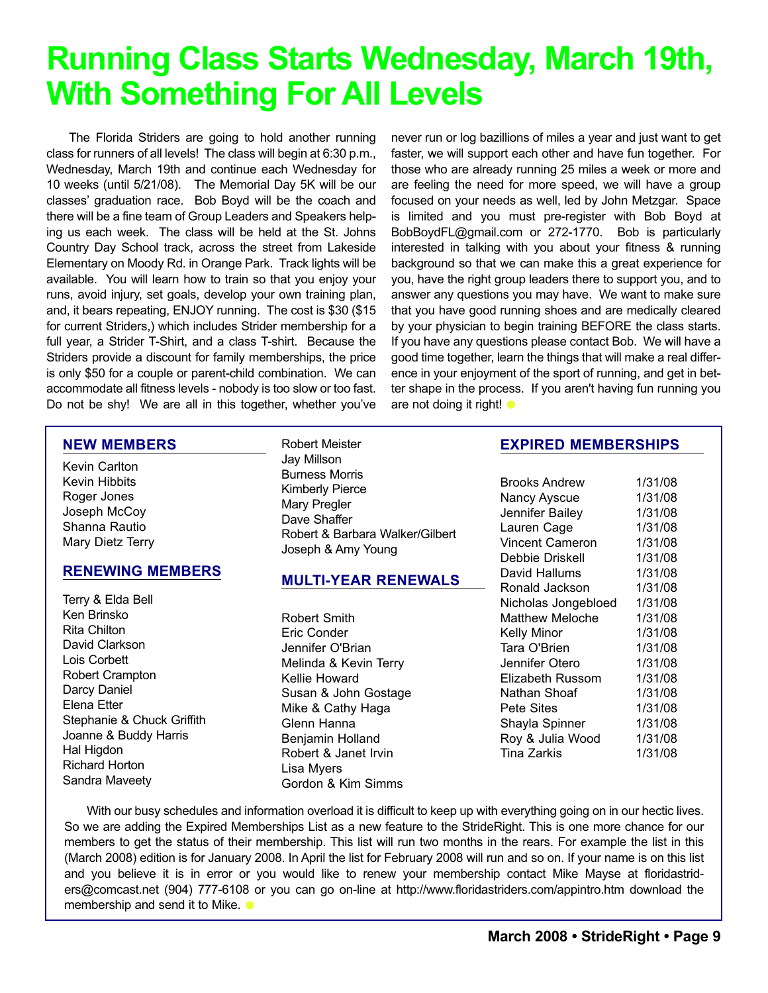## **Running Class Starts Wednesday, March 19th, With Something For All Levels**

The Florida Striders are going to hold another running class for runners of all levels! The class will begin at 6:30 p.m., Wednesday, March 19th and continue each Wednesday for 10 weeks (until 5/21/08). The Memorial Day 5K will be our classes' graduation race. Bob Boyd will be the coach and there will be a fine team of Group Leaders and Speakers helping us each week. The class will be held at the St. Johns Country Day School track, across the street from Lakeside Elementary on Moody Rd. in Orange Park. Track lights will be available. You will learn how to train so that you enjoy your runs, avoid injury, set goals, develop your own training plan, and, it bears repeating, ENJOY running. The cost is \$30 (\$15 for current Striders,) which includes Strider membership for a full year, a Strider T-Shirt, and a class T-shirt. Because the Striders provide a discount for family memberships, the price is only \$50 for a couple or parent-child combination. We can accommodate all fitness levels - nobody is too slow or too fast. Do not be shy! We are all in this together, whether you've

never run or log bazillions of miles a year and just want to get faster, we will support each other and have fun together. For those who are already running 25 miles a week or more and are feeling the need for more speed, we will have a group focused on your needs as well, led by John Metzgar. Space is limited and you must pre-register with Bob Boyd at BobBoydFL@gmail.com or 272-1770. Bob is particularly interested in talking with you about your fitness & running background so that we can make this a great experience for you, have the right group leaders there to support you, and to answer any questions you may have. We want to make sure that you have good running shoes and are medically cleared by your physician to begin training BEFORE the class starts. If you have any questions please contact Bob. We will have a good time together, learn the things that will make a real difference in your enjoyment of the sport of running, and get in better shape in the process. If you aren't having fun running you are not doing it right!  $\bullet$ 

#### **NEW MEMBERS**

Kevin Carlton Kevin Hibbits Roger Jones Joseph McCoy Shanna Rautio Mary Dietz Terry

#### **RENEWING MEMBERS**

- Terry & Elda Bell Ken Brinsko Rita Chilton David Clarkson Lois Corbett Robert Crampton Darcy Daniel Elena Etter Stephanie & Chuck Griffith Joanne & Buddy Harris Hal Higdon Richard Horton Sandra Maveety
- Robert Meister Jay Millson Burness Morris Kimberly Pierce Mary Pregler Dave Shaffer Robert & Barbara Walker/Gilbert Joseph & Amy Young

#### **MULTI-YEAR RENEWALS**

Robert Smith Eric Conder Jennifer O'Brian Melinda & Kevin Terry Kellie Howard Susan & John Gostage Mike & Cathy Haga Glenn Hanna Benjamin Holland Robert & Janet Irvin Lisa Myers Gordon & Kim Simms

#### **EXPIRED MEMBERSHIPS**

Brooks Andrew 1/31/08 Nancy Ayscue 1/31/08 Jennifer Bailey 1/31/08 Lauren Cage 1/31/08 Vincent Cameron 1/31/08 Debbie Driskell 1/31/08 David Hallums 1/31/08 Ronald Jackson 1/31/08 Nicholas Jongebloed 1/31/08 Matthew Meloche 1/31/08 Kelly Minor 1/31/08 Tara O'Brien 1/31/08 Jennifer Otero 1/31/08 Elizabeth Russom 1/31/08 Nathan Shoaf 1/31/08 Pete Sites 1/31/08 Shayla Spinner 1/31/08 Roy & Julia Wood 1/31/08 Tina Zarkis 1/31/08

With our busy schedules and information overload it is difficult to keep up with everything going on in our hectic lives. So we are adding the Expired Memberships List as a new feature to the StrideRight. This is one more chance for our members to get the status of their membership. This list will run two months in the rears. For example the list in this (March 2008) edition is for January 2008. In April the list for February 2008 will run and so on. If your name is on this list and you believe it is in error or you would like to renew your membership contact Mike Mayse at floridastriders@comcast.net (904) 777-6108 or you can go on-line at http://www.floridastriders.com/appintro.htm download the membership and send it to Mike.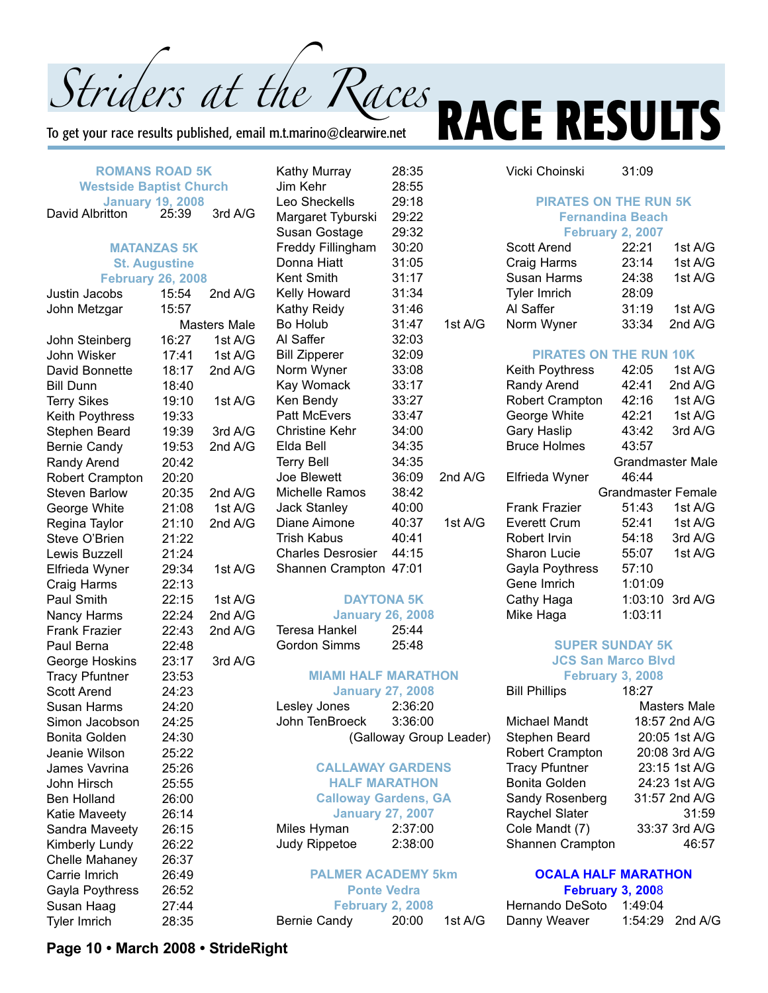Striders at the Races<br>To get your race results published, email m.t.marino@clearwire.net **RACE RESULTS** 

Vicki Choinski 31:09

To get your race results published, email m.t.marino@clearwire.net

|                                | <b>ROMANS ROAD 5K</b>    |                     | <b>Kathy Murray</b>         | 28:35                   |                         |
|--------------------------------|--------------------------|---------------------|-----------------------------|-------------------------|-------------------------|
| <b>Westside Baptist Church</b> |                          |                     | Jim Kehr                    | 28:55                   |                         |
|                                | <b>January 19, 2008</b>  |                     | Leo Sheckells               | 29:18                   |                         |
| David Albritton                | 25:39                    | 3rd A/G             | Margaret Tyburski           | 29:22                   |                         |
|                                |                          |                     | Susan Gostage               | 29:32                   |                         |
|                                | <b>MATANZAS 5K</b>       |                     | Freddy Fillingham           | 30:20                   |                         |
|                                | <b>St. Augustine</b>     |                     | Donna Hiatt                 | 31:05                   |                         |
|                                | <b>February 26, 2008</b> |                     | Kent Smith                  | 31:17                   |                         |
| Justin Jacobs                  | 15:54                    | 2nd A/G             | Kelly Howard                | 31:34                   |                         |
| John Metzgar                   | 15:57                    |                     | Kathy Reidy                 | 31:46                   |                         |
|                                |                          | <b>Masters Male</b> | Bo Holub                    | 31:47                   | 1st A/G                 |
| John Steinberg                 | 16:27                    | 1st A/G             | Al Saffer                   | 32:03                   |                         |
| John Wisker                    | 17:41                    | 1st A/G             | <b>Bill Zipperer</b>        | 32:09                   |                         |
| David Bonnette                 | 18:17                    | 2nd A/G             | Norm Wyner                  | 33:08                   |                         |
| <b>Bill Dunn</b>               | 18:40                    |                     | Kay Womack                  | 33:17                   |                         |
| <b>Terry Sikes</b>             | 19:10                    | 1st A/G             | Ken Bendy                   | 33:27                   |                         |
| Keith Poythress                | 19:33                    |                     | <b>Patt McEvers</b>         | 33:47                   |                         |
| Stephen Beard                  | 19:39                    | 3rd A/G             | <b>Christine Kehr</b>       | 34:00                   |                         |
| <b>Bernie Candy</b>            | 19:53                    | 2nd A/G             | Elda Bell                   | 34:35                   |                         |
| Randy Arend                    | 20:42                    |                     | <b>Terry Bell</b>           | 34:35                   |                         |
| Robert Crampton                | 20:20                    |                     | Joe Blewett                 | 36:09                   | 2nd A/G                 |
| <b>Steven Barlow</b>           | 20:35                    | 2nd A/G             | Michelle Ramos              | 38:42                   |                         |
| George White                   | 21:08                    | 1st A/G             | Jack Stanley                | 40:00                   |                         |
| Regina Taylor                  | 21:10                    | 2nd A/G             | Diane Aimone                | 40:37                   | 1st A/G                 |
| Steve O'Brien                  | 21:22                    |                     | <b>Trish Kabus</b>          | 40:41                   |                         |
| Lewis Buzzell                  | 21:24                    |                     | <b>Charles Desrosier</b>    | 44:15                   |                         |
| Elfrieda Wyner                 | 29:34                    | 1st A/G             | Shannen Crampton            | 47:01                   |                         |
| Craig Harms                    | 22:13                    |                     |                             |                         |                         |
| Paul Smith                     | 22:15                    | 1st A/G             |                             | <b>DAYTONA 5K</b>       |                         |
| Nancy Harms                    | 22:24                    | 2nd A/G             | <b>January 26, 2008</b>     |                         |                         |
| <b>Frank Frazier</b>           | 22:43                    | 2nd A/G             | <b>Teresa Hankel</b>        | 25:44                   |                         |
| Paul Berna                     | 22:48                    |                     | <b>Gordon Simms</b>         | 25:48                   |                         |
| George Hoskins                 | 23:17                    | 3rd A/G             |                             |                         |                         |
| <b>Tracy Pfuntner</b>          | 23:53                    |                     | <b>MIAMI HALF MARATHON</b>  |                         |                         |
| <b>Scott Arend</b>             | 24:23                    |                     | <b>January 27, 2008</b>     |                         |                         |
| Susan Harms                    | 24:20                    |                     | Lesley Jones                | 2:36:20                 |                         |
| Simon Jacobson                 | 24:25                    |                     | John TenBroeck              | 3:36:00                 |                         |
| <b>Bonita Golden</b>           | 24:30                    |                     |                             |                         | (Galloway Group Leader) |
| Jeanie Wilson                  | 25:22                    |                     |                             |                         |                         |
| James Vavrina                  | 25:26                    |                     | <b>CALLAWAY GARDENS</b>     |                         |                         |
| John Hirsch                    | 25:55                    |                     | <b>HALF MARATHON</b>        |                         |                         |
| <b>Ben Holland</b>             | 26:00                    |                     | <b>Calloway Gardens, GA</b> |                         |                         |
| Katie Maveety                  | 26:14                    |                     | <b>January 27, 2007</b>     |                         |                         |
| Sandra Maveety                 | 26:15                    |                     | Miles Hyman                 | 2:37:00                 |                         |
| Kimberly Lundy                 | 26:22                    |                     | Judy Rippetoe               | 2:38:00                 |                         |
| Chelle Mahaney                 | 26:37                    |                     |                             |                         |                         |
| Carrie Imrich                  | 26:49                    |                     | <b>PALMER ACADEMY 5km</b>   |                         |                         |
| Gayla Poythress                | 26:52                    |                     |                             | <b>Ponte Vedra</b>      |                         |
| Susan Haag                     | 27:44                    |                     |                             | <b>February 2, 2008</b> |                         |
| Tyler Imrich                   | 28:35                    |                     | <b>Bernie Candy</b>         | 20:00                   | 1st A/G                 |
|                                |                          |                     |                             |                         |                         |

| :18  |                         | <b>PIRATES ON THE RUN 5K</b>  |                           |           |
|------|-------------------------|-------------------------------|---------------------------|-----------|
| :22  | <b>Fernandina Beach</b> |                               |                           |           |
| :32  |                         |                               | <b>February 2, 2007</b>   |           |
| :20  |                         | <b>Scott Arend</b>            | 22:21                     | 1st A/G   |
| :05  |                         | Craig Harms                   | 23:14                     | 1st A/G   |
| :17  |                         | Susan Harms                   | 24:38                     | 1st A/G   |
| :34  |                         | <b>Tyler Imrich</b>           | 28:09                     |           |
| :46  |                         | Al Saffer                     | 31:19                     | 1st A/G   |
| :47  | 1st A/G                 | Norm Wyner                    | 33:34                     | 2nd $A/G$ |
| :03  |                         |                               |                           |           |
| :09  |                         | <b>PIRATES ON THE RUN 10K</b> |                           |           |
| :08  |                         | Keith Poythress               | 42:05                     | 1st A/G   |
| :17  |                         | Randy Arend                   | 42:41                     | 2nd $A/G$ |
| :27  |                         | <b>Robert Crampton</b>        | 42:16                     | 1st A/G   |
| :47  |                         | George White                  | 42:21                     | 1st A/G   |
| :00  |                         | Gary Haslip                   | 43:42                     | 3rd A/G   |
| :35  |                         | <b>Bruce Holmes</b>           | 43:57                     |           |
| :35  |                         |                               | <b>Grandmaster Male</b>   |           |
| :09  | 2nd $A/G$               | Elfrieda Wyner                | 46:44                     |           |
| :42  |                         |                               | <b>Grandmaster Female</b> |           |
| :00  |                         | <b>Frank Frazier</b>          | 51:43                     | 1st $A/G$ |
| :37  | 1st A/G                 | Everett Crum                  | 52:41                     | 1st A/G   |
| :41  |                         | Robert Irvin                  | 54:18                     | 3rd A/G   |
| :15  |                         | Sharon Lucie                  | 55:07                     | 1st A/G   |
| :01  |                         | Gayla Poythress               | 57:10                     |           |
|      |                         | Gene Imrich                   | 1:01:09                   |           |
| 5K   |                         | Cathy Haga                    | 1:03:10                   | 3rd A/G   |
| 2008 |                         | Mike Haga                     | 1:03:11                   |           |

#### **SUPER SUNDAY 5K JCS San Marco Blvd February 3, 2008**

Bill Phillips 18:27 Masters Male Michael Mandt 18:57 2nd A/G Stephen Beard 20:05 1st A/G Robert Crampton 20:08 3rd A/G Tracy Pfuntner 23:15 1st A/G Bonita Golden 24:23 1st A/G Sandy Rosenberg 31:57 2nd A/G Raychel Slater 31:59 Cole Mandt (7) 33:37 3rd A/G Shannen Crampton 46:57

#### **OCALA HALF MARATHON**

#### **February 3, 200**8 Hernando DeSoto 1:49:04 Danny Weaver 1:54:29 2nd A/G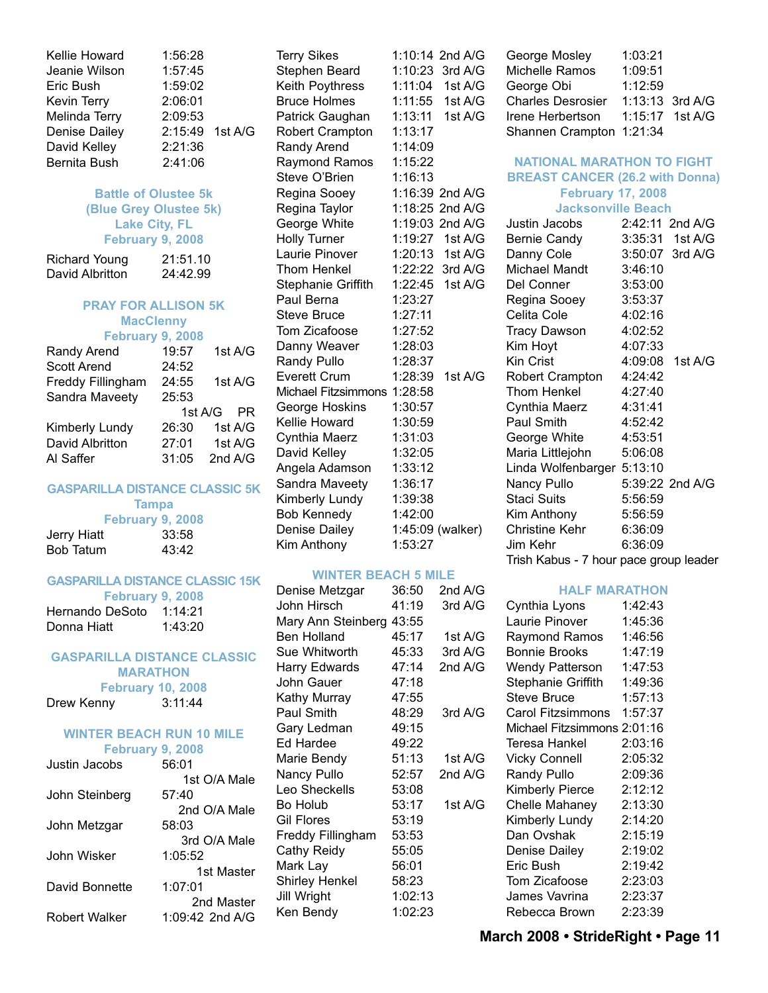| Kellie Howard        | 1:56:28         |  |
|----------------------|-----------------|--|
| Jeanie Wilson        | 1:57:45         |  |
| Eric Bush            | 1:59:02         |  |
| Kevin Terry          | 2:06:01         |  |
| Melinda Terry        | 2:09:53         |  |
| <b>Denise Dailey</b> | 2:15:49 1st A/G |  |
| David Kelley         | 2:21:36         |  |
| <b>Bernita Bush</b>  | 2:41:06         |  |
|                      |                 |  |

#### **Battle of Olustee 5k (Blue Grey Olustee 5k) Lake City, FL February 9, 2008**

| <b>Richard Young</b> | 21:51.10 |
|----------------------|----------|
| David Albritton      | 24:42.99 |

#### **PRAY FOR ALLISON 5K MacClenny February 9, 2008**

| Randy Arend        | 19:57     | 1st A/G   |
|--------------------|-----------|-----------|
| <b>Scott Arend</b> | 24:52     |           |
| Freddy Fillingham  | 24:55     | 1st A/G   |
| Sandra Maveety     | 25:53     |           |
|                    | 1st $A/G$ | <b>PR</b> |
| Kimberly Lundy     | 26:30     | 1st A/G   |
| David Albritton    | 27:01     | 1st A/G   |
| Al Saffer          | 31:05     | 2nd A/G   |
|                    |           |           |

#### **GASPARILLA DISTANCE CLASSIC 5K**

|             | <b>Tampa</b>     |  |
|-------------|------------------|--|
|             | February 9, 2008 |  |
| Jerry Hiatt | 33:58            |  |
| Bob Tatum   | 43:42            |  |

#### **GASPARILLA DISTANCE CLASSIC 15K**

|                         | February 9, 2008 |         |  |
|-------------------------|------------------|---------|--|
| Hernando DeSoto 1:14:21 |                  |         |  |
| Donna Hiatt             |                  | 1:43:20 |  |

#### **GASPARILLA DISTANCE CLASSIC MARATHON February 10, 2008**

| 3:11:44 |
|---------|
|         |

#### **WINTER BEACH RUN 10 MILE February 9, 2008**

| Justin Jacobs  | 56:01           |
|----------------|-----------------|
|                | 1st O/A Male    |
| John Steinberg | 57:40           |
|                | 2nd O/A Male    |
| John Metzgar   | 58:03           |
|                | 3rd O/A Male    |
| John Wisker    | 1:05:52         |
|                | 1st Master      |
| David Bonnette | 1:07:01         |
|                | 2nd Master      |
| Robert Walker  | 1:09:42 2nd A/G |
|                |                 |

Terry Sikes 1:10:14 2nd A/G Stephen Beard 1:10:23 3rd A/G Keith Poythress 1:11:04 1st A/G Bruce Holmes 1:11:55 1st A/G Patrick Gaughan 1:13:11 1st A/G Robert Crampton 1:13:17 Randy Arend 1:14:09 Raymond Ramos 1:15:22 Steve O'Brien 1:16:13 Regina Sooey 1:16:39 2nd A/G Regina Taylor 1:18:25 2nd A/G George White 1:19:03 2nd A/G Holly Turner 1:19:27 1st A/G Laurie Pinover 1:20:13 1st A/G Thom Henkel 1:22:22 3rd A/G Stephanie Griffith 1:22:45 1st A/G Paul Berna 1:23:27 Steve Bruce 1:27:11 Tom Zicafoose 1:27:52 Danny Weaver 1:28:03 Randy Pullo 1:28:37 Everett Crum 1:28:39 1st A/G Michael Fitzsimmons 1:28:58 George Hoskins 1:30:57 Kellie Howard 1:30:59 Cynthia Maerz 1:31:03 David Kelley 1:32:05 Angela Adamson 1:33:12 Sandra Maveety 1:36:17 Kimberly Lundy 1:39:38 Bob Kennedy 1:42:00 Denise Dailey 1:45:09 (walker) Kim Anthony 1:53:27

#### **WINTER BEACH 5 MILE**

| Denise Metzgar           | 36:50   | 2nd A/G |
|--------------------------|---------|---------|
| John Hirsch              | 41:19   | 3rd A/G |
| Mary Ann Steinberg 43:55 |         |         |
| <b>Ben Holland</b>       | 45:17   | 1st A/G |
| Sue Whitworth            | 45:33   | 3rd A/G |
| Harry Edwards            | 47:14   | 2nd A/G |
| John Gauer               | 47:18   |         |
| Kathy Murray             | 47:55   |         |
| Paul Smith               | 48:29   | 3rd A/G |
| Gary Ledman              | 49:15   |         |
| Ed Hardee                | 49:22   |         |
| Marie Bendy              | 51:13   | 1st A/G |
| Nancy Pullo              | 52:57   | 2nd A/G |
| Leo Sheckells            | 53:08   |         |
| Bo Holub                 | 53:17   | 1st A/G |
| Gil Flores               | 53:19   |         |
| Freddy Fillingham        | 53:53   |         |
| Cathy Reidy              | 55:05   |         |
| Mark Lay                 | 56:01   |         |
| Shirley Henkel           | 58:23   |         |
| <b>Jill Wright</b>       | 1:02:13 |         |
| Ken Bendy                | 1:02:23 |         |
|                          |         |         |

| George Mosley            | 1:03:21 |                   |
|--------------------------|---------|-------------------|
| Michelle Ramos           | 1:09:51 |                   |
| George Obi               | 1:12:59 |                   |
| <b>Charles Desrosier</b> |         | 1:13:13 3rd A/G   |
| Irene Herbertson         |         | $1:15:17$ 1st A/G |
| Shannen Crampton 1:21:34 |         |                   |

#### **NATIONAL MARATHON TO FIGHT BREAST CANCER (26.2 with Donna)**

#### **February 17, 2008**

|  | <b>Jacksonville Beach</b> |  |  |  |
|--|---------------------------|--|--|--|
|--|---------------------------|--|--|--|

| Justin Jacobs                          |         | 2:42:11 2nd A/G |
|----------------------------------------|---------|-----------------|
| <b>Bernie Candy</b>                    |         | 3:35:31 1st A/G |
| Danny Cole                             |         | 3:50:07 3rd A/G |
| Michael Mandt                          | 3:46:10 |                 |
| Del Conner                             | 3:53:00 |                 |
| Regina Sooey                           | 3:53:37 |                 |
| Celita Cole                            | 4:02:16 |                 |
| <b>Tracy Dawson</b>                    | 4:02:52 |                 |
| Kim Hoyt                               | 4:07:33 |                 |
| Kin Crist                              |         | 4:09:08 1st A/G |
| Robert Crampton                        | 4:24:42 |                 |
| Thom Henkel                            | 4:27:40 |                 |
| Cynthia Maerz                          | 4:31:41 |                 |
| Paul Smith                             | 4:52:42 |                 |
| George White                           | 4:53:51 |                 |
| Maria Littlejohn                       | 5:06:08 |                 |
| Linda Wolfenbarger 5:13:10             |         |                 |
| Nancy Pullo                            |         | 5:39:22 2nd A/G |
| Staci Suits                            | 5:56:59 |                 |
| Kim Anthony                            | 5:56:59 |                 |
| Christine Kehr                         | 6:36:09 |                 |
| Jim Kehr                               | 6:36:09 |                 |
| Trish Kabus - 7 hour pace group leader |         |                 |

#### **HALF MARATHON**

Cynthia Lyons 1:42:43 Laurie Pinover 1:45:36 Raymond Ramos 1:46:56 Bonnie Brooks 1:47:19 Wendy Patterson 1:47:53 Stephanie Griffith 1:49:36 Steve Bruce 1:57:13 Carol Fitzsimmons 1:57:37 Michael Fitzsimmons 2:01:16 Teresa Hankel 2:03:16 Vicky Connell 2:05:32 Randy Pullo 2:09:36 Kimberly Pierce 2:12:12 Chelle Mahaney 2:13:30 Kimberly Lundy 2:14:20 Dan Ovshak 2:15:19 Denise Dailey 2:19:02 Eric Bush 2:19:42 Tom Zicafoose 2:23:03 James Vavrina 2:23:37 Rebecca Brown 2:23:39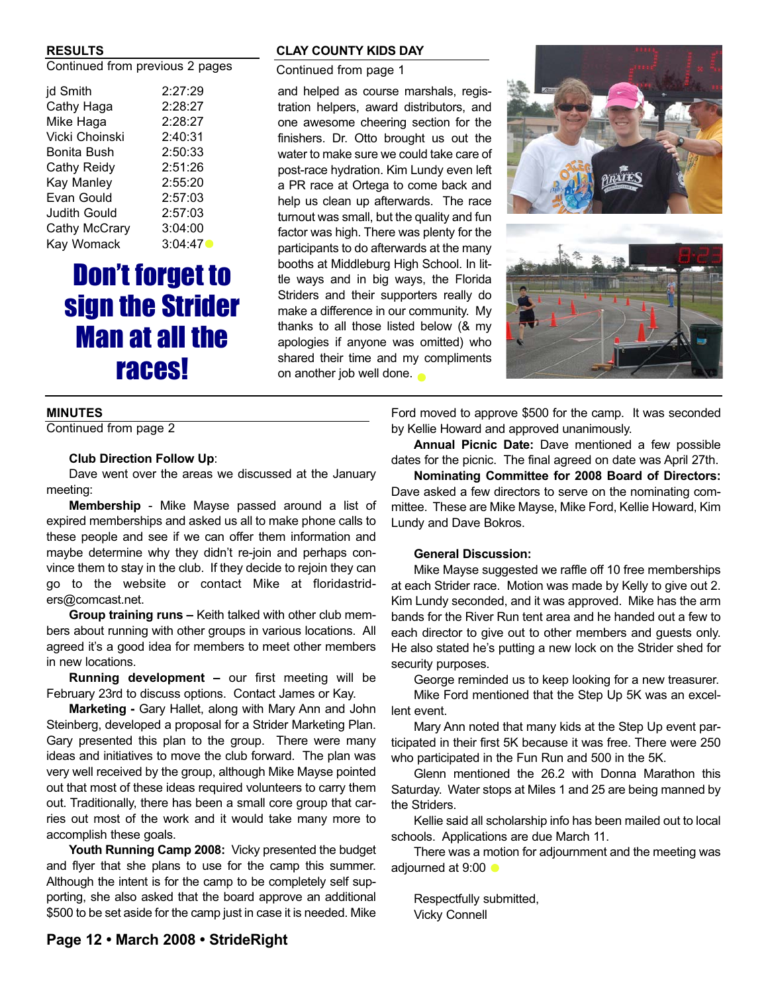#### **RESULTS**

Continued from previous 2 pages

| jd Smith            | 2:27:29 |
|---------------------|---------|
| Cathy Haga          | 2:28:27 |
| Mike Haga           | 2:28:27 |
| Vicki Choinski      | 2:40:31 |
| Bonita Bush         | 2:50:33 |
| Cathy Reidy         | 2:51:26 |
| Kay Manley          | 2:55:20 |
| Evan Gould          | 2:57:03 |
| <b>Judith Gould</b> | 2:57:03 |
| Cathy McCrary       | 3:04:00 |
| Kay Womack          | 3:04:47 |
|                     |         |

### Don't forget to sign the Strider Man at all the races!

#### **MINUTES**

Continued from page 2

#### **Club Direction Follow Up**:

Dave went over the areas we discussed at the January meeting:

**Membership** - Mike Mayse passed around a list of expired memberships and asked us all to make phone calls to these people and see if we can offer them information and maybe determine why they didn't re-join and perhaps convince them to stay in the club. If they decide to rejoin they can go to the website or contact Mike at floridastriders@comcast.net.

**Group training runs –** Keith talked with other club members about running with other groups in various locations. All agreed it's a good idea for members to meet other members in new locations.

**Running development –** our first meeting will be February 23rd to discuss options. Contact James or Kay.

**Marketing -** Gary Hallet, along with Mary Ann and John Steinberg, developed a proposal for a Strider Marketing Plan. Gary presented this plan to the group. There were many ideas and initiatives to move the club forward. The plan was very well received by the group, although Mike Mayse pointed out that most of these ideas required volunteers to carry them out. Traditionally, there has been a small core group that carries out most of the work and it would take many more to accomplish these goals.

**Youth Running Camp 2008:** Vicky presented the budget and flyer that she plans to use for the camp this summer. Although the intent is for the camp to be completely self supporting, she also asked that the board approve an additional \$500 to be set aside for the camp just in case it is needed. Mike

#### **CLAY COUNTY KIDS DAY**

Continued from page 1

and helped as course marshals, registration helpers, award distributors, and one awesome cheering section for the finishers. Dr. Otto brought us out the water to make sure we could take care of post-race hydration. Kim Lundy even left a PR race at Ortega to come back and help us clean up afterwards. The race turnout was small, but the quality and fun factor was high. There was plenty for the participants to do afterwards at the many booths at Middleburg High School. In little ways and in big ways, the Florida Striders and their supporters really do make a difference in our community. My thanks to all those listed below (& my apologies if anyone was omitted) who shared their time and my compliments on another job well done.





Ford moved to approve \$500 for the camp. It was seconded by Kellie Howard and approved unanimously.

**Annual Picnic Date:** Dave mentioned a few possible dates for the picnic. The final agreed on date was April 27th.

**Nominating Committee for 2008 Board of Directors:** Dave asked a few directors to serve on the nominating committee. These are Mike Mayse, Mike Ford, Kellie Howard, Kim Lundy and Dave Bokros.

#### **General Discussion:**

Mike Mayse suggested we raffle off 10 free memberships at each Strider race. Motion was made by Kelly to give out 2. Kim Lundy seconded, and it was approved. Mike has the arm bands for the River Run tent area and he handed out a few to each director to give out to other members and guests only. He also stated he's putting a new lock on the Strider shed for security purposes.

George reminded us to keep looking for a new treasurer.

Mike Ford mentioned that the Step Up 5K was an excellent event.

Mary Ann noted that many kids at the Step Up event participated in their first 5K because it was free. There were 250 who participated in the Fun Run and 500 in the 5K.

Glenn mentioned the 26.2 with Donna Marathon this Saturday. Water stops at Miles 1 and 25 are being manned by the Striders.

Kellie said all scholarship info has been mailed out to local schools. Applications are due March 11.

There was a motion for adjournment and the meeting was adjourned at 9:00  $\bullet$ 

Respectfully submitted, Vicky Connell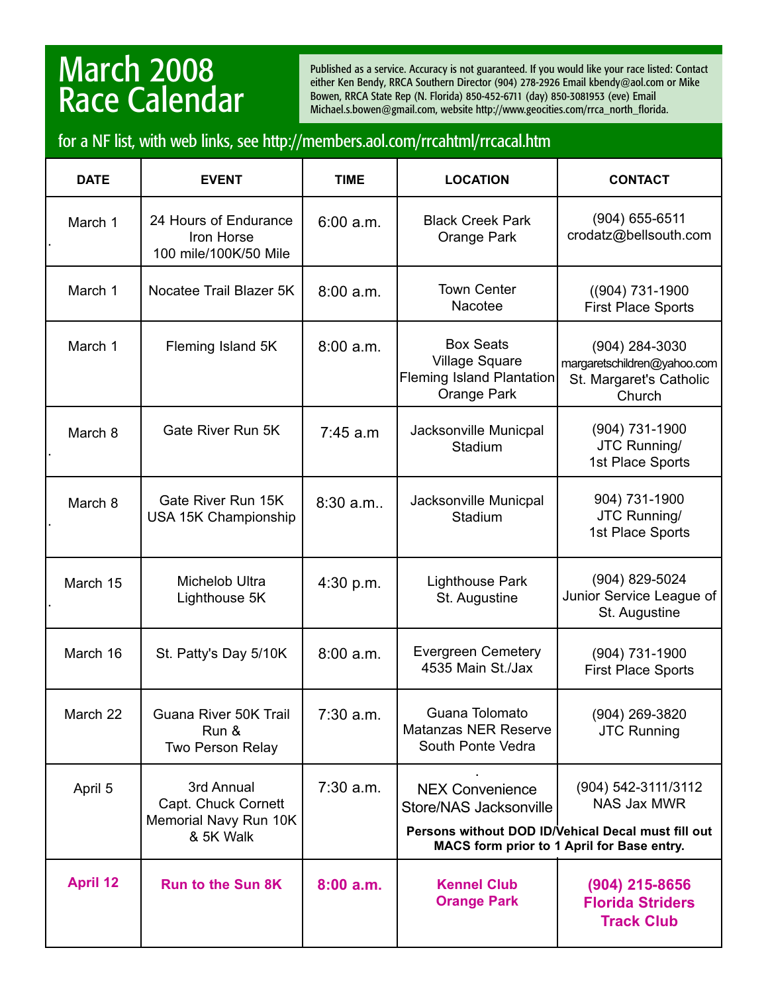### March 2008 Race Calendar

Published as a service. Accuracy is not guaranteed. If you would like your race listed: Contact either Ken Bendy, RRCA Southern Director (904) 278-2926 Email kbendy@aol.com or Mike Bowen, RRCA State Rep (N. Florida) 850-452-6711 (day) 850-3081953 (eve) Email Michael.s.bowen@gmail.com, website http://www.geocities.com/rrca\_north\_florida.

### for a NF list, with web links, see http://members.aol.com/rrcahtml/rrcacal.htm

| <b>DATE</b>     | <b>EVENT</b>                                                            | <b>TIME</b> | <b>LOCATION</b>                                                                       | <b>CONTACT</b>                                                                                                                                       |
|-----------------|-------------------------------------------------------------------------|-------------|---------------------------------------------------------------------------------------|------------------------------------------------------------------------------------------------------------------------------------------------------|
| March 1         | 24 Hours of Endurance<br>Iron Horse<br>100 mile/100K/50 Mile            | 6:00 a.m.   | <b>Black Creek Park</b><br>Orange Park                                                | (904) 655-6511<br>crodatz@bellsouth.com                                                                                                              |
| March 1         | Nocatee Trail Blazer 5K                                                 | $8:00$ a.m. | <b>Town Center</b><br>Nacotee                                                         | ((904) 731-1900<br><b>First Place Sports</b>                                                                                                         |
| March 1         | Fleming Island 5K                                                       | 8:00 a.m.   | <b>Box Seats</b><br><b>Village Square</b><br>Fleming Island Plantation<br>Orange Park | (904) 284-3030<br>margaretschildren@yahoo.com<br>St. Margaret's Catholic<br>Church                                                                   |
| March 8         | Gate River Run 5K                                                       | 7:45 a.m    | Jacksonville Municpal<br>Stadium                                                      | (904) 731-1900<br>JTC Running/<br>1st Place Sports                                                                                                   |
| March 8         | Gate River Run 15K<br>USA 15K Championship                              | 8:30 a.m    | Jacksonville Municpal<br>Stadium                                                      | 904) 731-1900<br>JTC Running/<br>1st Place Sports                                                                                                    |
| March 15        | Michelob Ultra<br>Lighthouse 5K                                         | 4:30 p.m.   | <b>Lighthouse Park</b><br>St. Augustine                                               | (904) 829-5024<br>Junior Service League of<br>St. Augustine                                                                                          |
| March 16        | St. Patty's Day 5/10K                                                   | $8:00$ a.m. | <b>Evergreen Cemetery</b><br>4535 Main St./Jax                                        | (904) 731-1900<br><b>First Place Sports</b>                                                                                                          |
| March 22        | Guana River 50K Trail<br>Run &<br>Two Person Relay                      | 7:30a.m     | Guana Tolomato<br><b>Matanzas NER Reserve</b><br>South Ponte Vedra                    | $(904)$ 269-3820<br><b>JTC Running</b>                                                                                                               |
| April 5         | 3rd Annual<br>Capt. Chuck Cornett<br>Memorial Navy Run 10K<br>& 5K Walk | $7:30$ a.m. | <b>NEX Convenience</b><br>Store/NAS Jacksonville                                      | (904) 542-3111/3112<br><b>NAS Jax MWR</b><br>Persons without DOD ID/Vehical Decal must fill out<br><b>MACS form prior to 1 April for Base entry.</b> |
| <b>April 12</b> | <b>Run to the Sun 8K</b>                                                | 8:00a.m.    | <b>Kennel Club</b><br><b>Orange Park</b>                                              | (904) 215-8656<br><b>Florida Striders</b><br><b>Track Club</b>                                                                                       |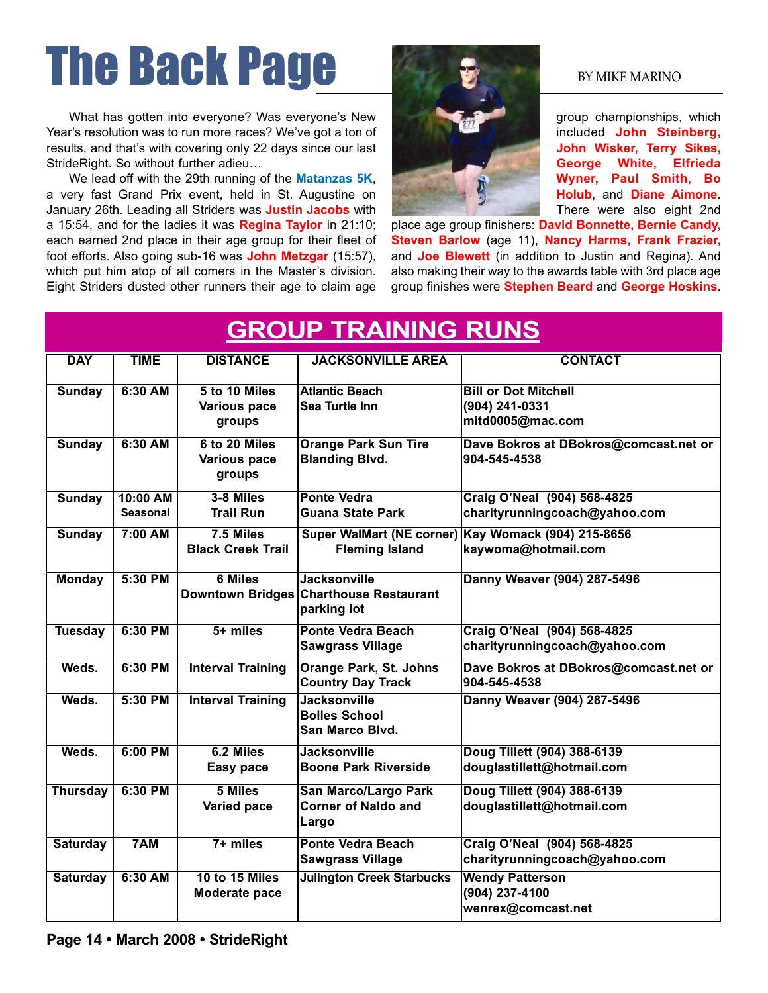# The Back Page By MIKE MARINO

What has gotten into everyone? Was everyone's New Year's resolution was to run more races? We've got a ton of results, and that's with covering only 22 days since our last StrideRight. So without further adieu…

We lead off with the 29th running of the **Matanzas 5K**, a very fast Grand Prix event, held in St. Augustine on January 26th. Leading all Striders was **Justin Jacobs** with a 15:54, and for the ladies it was **Regina Taylor** in 21:10; each earned 2nd place in their age group for their fleet of foot efforts. Also going sub-16 was **John Metzgar** (15:57), which put him atop of all comers in the Master's division. Eight Striders dusted other runners their age to claim age



group championships, which included **John Steinberg, John Wisker, Terry Sikes, George White, Elfrieda Wyner, Paul Smith, Bo Holub**, and **Diane Aimone**. There were also eight 2nd

place age group finishers: **David Bonnette, Bernie Candy, Steven Barlow** (age 11), **Nancy Harms, Frank Frazier,** and **Joe Blewett** (in addition to Justin and Regina). And also making their way to the awards table with 3rd place age group finishes were **Stephen Beard** and **George Hoskins**.

| <b>GROUP TRAINING RUNS</b> |                             |                                                |                                                                              |                                                                            |
|----------------------------|-----------------------------|------------------------------------------------|------------------------------------------------------------------------------|----------------------------------------------------------------------------|
| <b>DAY</b>                 | <b>TIME</b>                 | <b>DISTANCE</b>                                | <b>JACKSONVILLE AREA</b>                                                     | <b>CONTACT</b>                                                             |
| <b>Sunday</b>              | 6:30 AM                     | 5 to 10 Miles<br><b>Various pace</b><br>groups | <b>Atlantic Beach</b><br>Sea Turtle Inn                                      | <b>Bill or Dot Mitchell</b><br>(904) 241-0331<br>mitd0005@mac.com          |
| <b>Sunday</b>              | 6:30 AM                     | 6 to 20 Miles<br><b>Various pace</b><br>groups | <b>Orange Park Sun Tire</b><br><b>Blanding Blvd.</b>                         | Dave Bokros at DBokros@comcast.net or<br>904-545-4538                      |
| <b>Sunday</b>              | 10:00 AM<br><b>Seasonal</b> | 3-8 Miles<br><b>Trail Run</b>                  | <b>Ponte Vedra</b><br><b>Guana State Park</b>                                | Craig O'Neal (904) 568-4825<br>charityrunningcoach@yahoo.com               |
| <b>Sunday</b>              | $7:00$ AM                   | $7.5$ Miles<br><b>Black Creek Trail</b>        | <b>Fleming Island</b>                                                        | Super WalMart (NE corner) Kay Womack (904) 215-8656<br>kaywoma@hotmail.com |
| <b>Monday</b>              | 5:30 PM                     | <b>6 Miles</b>                                 | <b>Jacksonville</b><br>Downtown Bridges Charthouse Restaurant<br>parking lot | Danny Weaver (904) 287-5496                                                |
| <b>Tuesday</b>             | 6:30 PM                     | $5+$ miles                                     | <b>Ponte Vedra Beach</b><br><b>Sawgrass Village</b>                          | Craig O'Neal (904) 568-4825<br>charityrunningcoach@yahoo.com               |
| Weds.                      | 6:30 PM                     | <b>Interval Training</b>                       | <b>Orange Park, St. Johns</b><br><b>Country Day Track</b>                    | Dave Bokros at DBokros@comcast.net or<br>904-545-4538                      |
| Weds.                      | 5:30 PM                     | <b>Interval Training</b>                       | <b>Jacksonville</b><br><b>Bolles School</b><br>San Marco Blvd.               | Danny Weaver (904) 287-5496                                                |
| Weds.                      | $6:00$ PM                   | 6.2 Miles<br>Easy pace                         | <b>Jacksonville</b><br><b>Boone Park Riverside</b>                           | Doug Tillett (904) 388-6139<br>douglastillett@hotmail.com                  |
| <b>Thursday</b>            | 6:30 PM                     | 5 Miles<br>Varied pace                         | <b>San Marco/Largo Park</b><br><b>Corner of Naldo and</b><br>Largo           | Doug Tillett (904) 388-6139<br>douglastillett@hotmail.com                  |
| <b>Saturday</b>            | 7AM                         | $7 +$ miles                                    | <b>Ponte Vedra Beach</b><br><b>Sawgrass Village</b>                          | Craig O'Neal (904) 568-4825<br>charityrunningcoach@yahoo.com               |
| <b>Saturday</b>            | 6:30 AM                     | 10 to 15 Miles<br>Moderate pace                | <b>Julington Creek Starbucks</b>                                             | <b>Wendy Patterson</b><br>(904) 237-4100<br>wenrex@comcast.net             |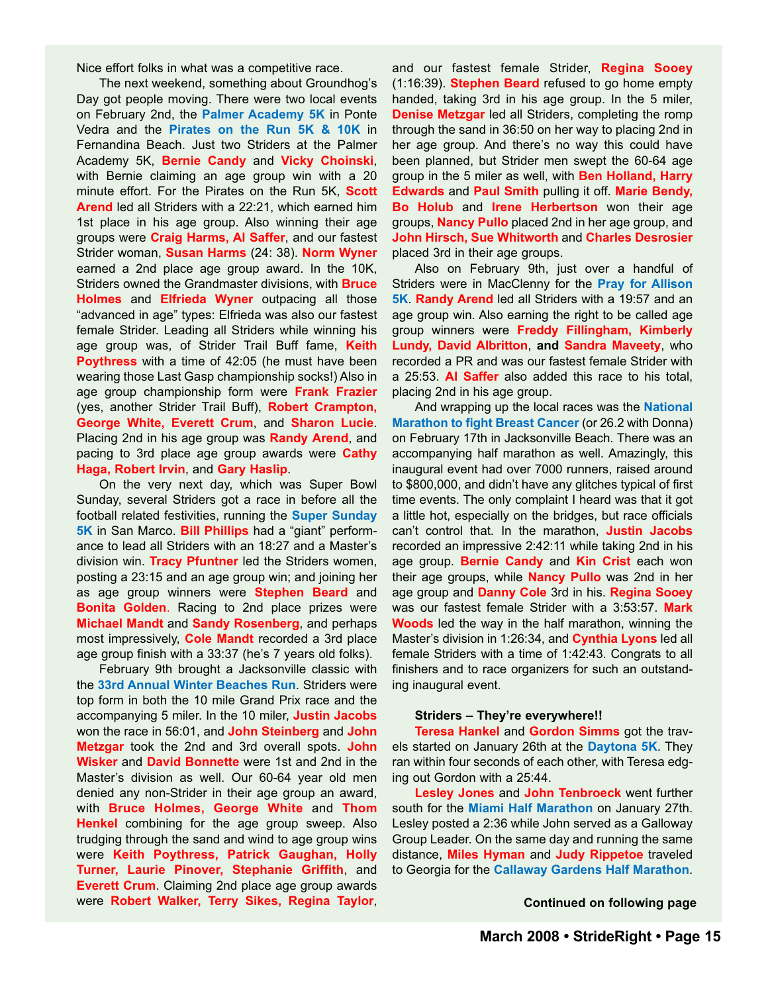Nice effort folks in what was a competitive race.

The next weekend, something about Groundhog's Day got people moving. There were two local events on February 2nd, the **Palmer Academy 5K** in Ponte Vedra and the **Pirates on the Run 5K & 10K** in Fernandina Beach. Just two Striders at the Palmer Academy 5K, **Bernie Candy** and **Vicky Choinski**, with Bernie claiming an age group win with a 20 minute effort. For the Pirates on the Run 5K, **Scott Arend** led all Striders with a 22:21, which earned him 1st place in his age group. Also winning their age groups were **Craig Harms, Al Saffer**, and our fastest Strider woman, **Susan Harms** (24: 38). **Norm Wyner** earned a 2nd place age group award. In the 10K, Striders owned the Grandmaster divisions, with **Bruce Holmes** and **Elfrieda Wyner** outpacing all those "advanced in age" types: Elfrieda was also our fastest female Strider. Leading all Striders while winning his age group was, of Strider Trail Buff fame, **Keith Poythress** with a time of 42:05 (he must have been wearing those Last Gasp championship socks!) Also in age group championship form were **Frank Frazier** (yes, another Strider Trail Buff), **Robert Crampton, George White, Everett Crum**, and **Sharon Lucie**. Placing 2nd in his age group was **Randy Arend**, and pacing to 3rd place age group awards were **Cathy Haga, Robert Irvin**, and **Gary Haslip**.

On the very next day, which was Super Bowl Sunday, several Striders got a race in before all the football related festivities, running the **Super Sunday 5K** in San Marco. **Bill Phillips** had a "giant" performance to lead all Striders with an 18:27 and a Master's division win. **Tracy Pfuntner** led the Striders women, posting a 23:15 and an age group win; and joining her as age group winners were **Stephen Beard** and **Bonita Golden**. Racing to 2nd place prizes were **Michael Mandt** and **Sandy Rosenberg**, and perhaps most impressively, **Cole Mandt** recorded a 3rd place age group finish with a 33:37 (he's 7 years old folks).

February 9th brought a Jacksonville classic with the **33rd Annual Winter Beaches Run**. Striders were top form in both the 10 mile Grand Prix race and the accompanying 5 miler. In the 10 miler, **Justin Jacobs** won the race in 56:01, and **John Steinberg** and **John Metzgar** took the 2nd and 3rd overall spots. **John Wisker** and **David Bonnette** were 1st and 2nd in the Master's division as well. Our 60-64 year old men denied any non-Strider in their age group an award, with **Bruce Holmes, George White** and **Thom Henkel** combining for the age group sweep. Also trudging through the sand and wind to age group wins were **Keith Poythress, Patrick Gaughan, Holly Turner, Laurie Pinover, Stephanie Griffith**, and **Everett Crum**. Claiming 2nd place age group awards were **Robert Walker, Terry Sikes, Regina Taylor**, and our fastest female Strider, **Regina Sooey** (1:16:39). **Stephen Beard** refused to go home empty handed, taking 3rd in his age group. In the 5 miler, **Denise Metzgar** led all Striders, completing the romp through the sand in 36:50 on her way to placing 2nd in her age group. And there's no way this could have been planned, but Strider men swept the 60-64 age group in the 5 miler as well, with **Ben Holland, Harry Edwards** and **Paul Smith** pulling it off. **Marie Bendy, Bo Holub** and **Irene Herbertson** won their age groups, **Nancy Pullo** placed 2nd in her age group, and **John Hirsch, Sue Whitworth** and **Charles Desrosier** placed 3rd in their age groups.

Also on February 9th, just over a handful of Striders were in MacClenny for the **Pray for Allison 5K**. **Randy Arend** led all Striders with a 19:57 and an age group win. Also earning the right to be called age group winners were **Freddy Fillingham, Kimberly Lundy, David Albritton**, **and Sandra Maveety**, who recorded a PR and was our fastest female Strider with a 25:53. **Al Saffer** also added this race to his total, placing 2nd in his age group.

And wrapping up the local races was the **National Marathon to fight Breast Cancer** (or 26.2 with Donna) on February 17th in Jacksonville Beach. There was an accompanying half marathon as well. Amazingly, this inaugural event had over 7000 runners, raised around to \$800,000, and didn't have any glitches typical of first time events. The only complaint I heard was that it got a little hot, especially on the bridges, but race officials can't control that. In the marathon, **Justin Jacobs** recorded an impressive 2:42:11 while taking 2nd in his age group. **Bernie Candy** and **Kin Crist** each won their age groups, while **Nancy Pullo** was 2nd in her age group and **Danny Cole** 3rd in his. **Regina Sooey** was our fastest female Strider with a 3:53:57. **Mark Woods** led the way in the half marathon, winning the Master's division in 1:26:34, and **Cynthia Lyons** led all female Striders with a time of 1:42:43. Congrats to all finishers and to race organizers for such an outstanding inaugural event.

#### **Striders – They're everywhere!!**

**Teresa Hankel** and **Gordon Simms** got the travels started on January 26th at the **Daytona 5K**. They ran within four seconds of each other, with Teresa edging out Gordon with a 25:44.

**Lesley Jones** and **John Tenbroeck** went further south for the **Miami Half Marathon** on January 27th. Lesley posted a 2:36 while John served as a Galloway Group Leader. On the same day and running the same distance, **Miles Hyman** and **Judy Rippetoe** traveled to Georgia for the **Callaway Gardens Half Marathon**.

**Continued on following page**